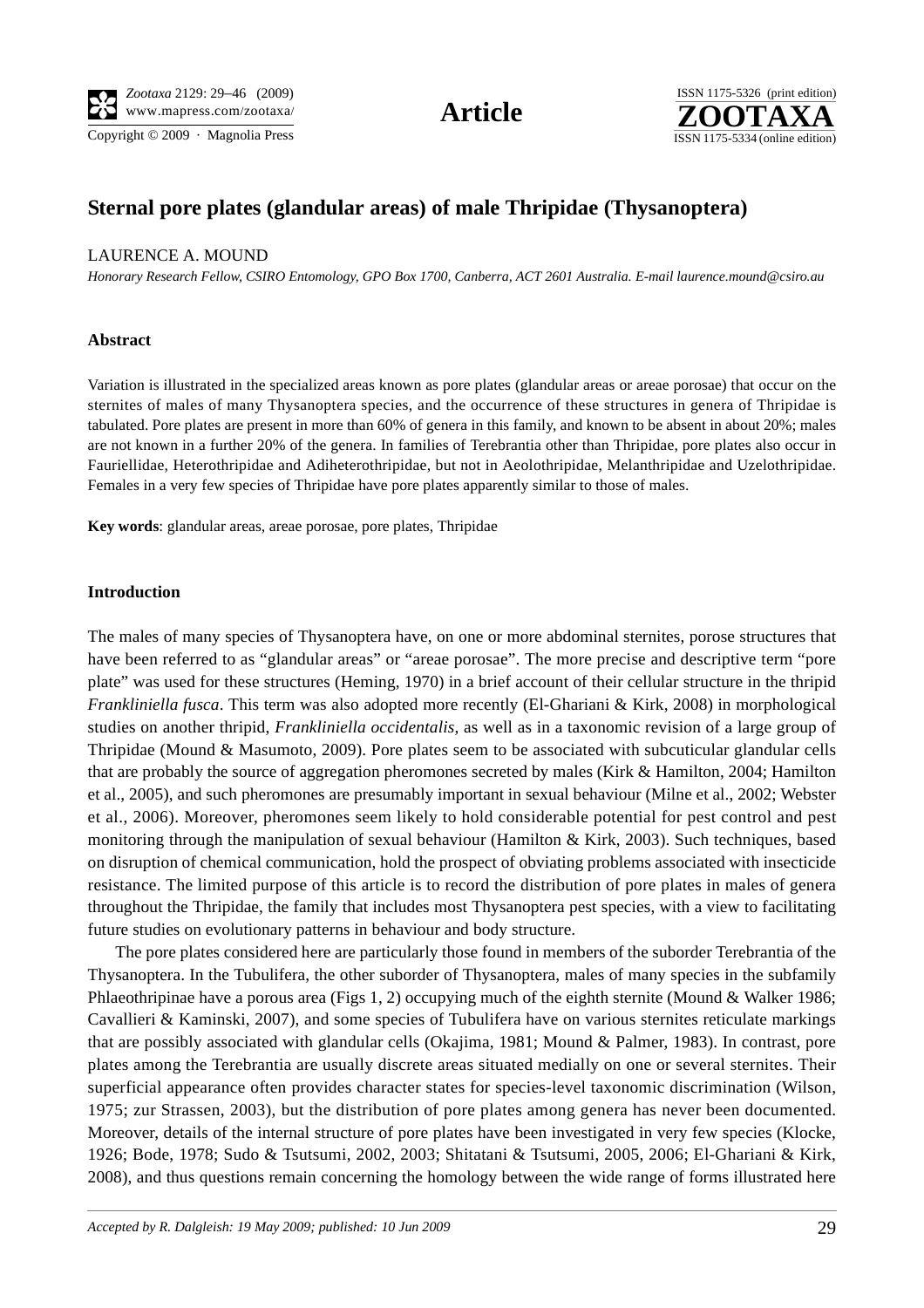Copyright © 2009 · Magnolia Press ISSN 1175-5334 (online edition)



# **Sternal pore plates (glandular areas) of male Thripidae (Thysanoptera)**

#### LAURENCE A. MOUND

*Honorary Research Fellow, CSIRO Entomology, GPO Box 1700, Canberra, ACT 2601 Australia. E-mail laurence.mound@csiro.au*

#### **Abstract**

Variation is illustrated in the specialized areas known as pore plates (glandular areas or areae porosae) that occur on the sternites of males of many Thysanoptera species, and the occurrence of these structures in genera of Thripidae is tabulated. Pore plates are present in more than 60% of genera in this family, and known to be absent in about 20%; males are not known in a further 20% of the genera. In families of Terebrantia other than Thripidae, pore plates also occur in Fauriellidae, Heterothripidae and Adiheterothripidae, but not in Aeolothripidae, Melanthripidae and Uzelothripidae. Females in a very few species of Thripidae have pore plates apparently similar to those of males.

**Key words**: glandular areas, areae porosae, pore plates, Thripidae

#### **Introduction**

The males of many species of Thysanoptera have, on one or more abdominal sternites, porose structures that have been referred to as "glandular areas" or "areae porosae". The more precise and descriptive term "pore plate" was used for these structures (Heming, 1970) in a brief account of their cellular structure in the thripid *Frankliniella fusca*. This term was also adopted more recently (El-Ghariani & Kirk, 2008) in morphological studies on another thripid, *Frankliniella occidentalis*, as well as in a taxonomic revision of a large group of Thripidae (Mound & Masumoto, 2009). Pore plates seem to be associated with subcuticular glandular cells that are probably the source of aggregation pheromones secreted by males (Kirk & Hamilton, 2004; Hamilton et al., 2005), and such pheromones are presumably important in sexual behaviour (Milne et al., 2002; Webster et al., 2006). Moreover, pheromones seem likely to hold considerable potential for pest control and pest monitoring through the manipulation of sexual behaviour (Hamilton & Kirk, 2003). Such techniques, based on disruption of chemical communication, hold the prospect of obviating problems associated with insecticide resistance. The limited purpose of this article is to record the distribution of pore plates in males of genera throughout the Thripidae, the family that includes most Thysanoptera pest species, with a view to facilitating future studies on evolutionary patterns in behaviour and body structure.

The pore plates considered here are particularly those found in members of the suborder Terebrantia of the Thysanoptera. In the Tubulifera, the other suborder of Thysanoptera, males of many species in the subfamily Phlaeothripinae have a porous area (Figs 1, 2) occupying much of the eighth sternite (Mound & Walker 1986; Cavallieri & Kaminski, 2007), and some species of Tubulifera have on various sternites reticulate markings that are possibly associated with glandular cells (Okajima, 1981; Mound & Palmer, 1983). In contrast, pore plates among the Terebrantia are usually discrete areas situated medially on one or several sternites. Their superficial appearance often provides character states for species-level taxonomic discrimination (Wilson, 1975; zur Strassen, 2003), but the distribution of pore plates among genera has never been documented. Moreover, details of the internal structure of pore plates have been investigated in very few species (Klocke, 1926; Bode, 1978; Sudo & Tsutsumi, 2002, 2003; Shitatani & Tsutsumi, 2005, 2006; El-Ghariani & Kirk, 2008), and thus questions remain concerning the homology between the wide range of forms illustrated here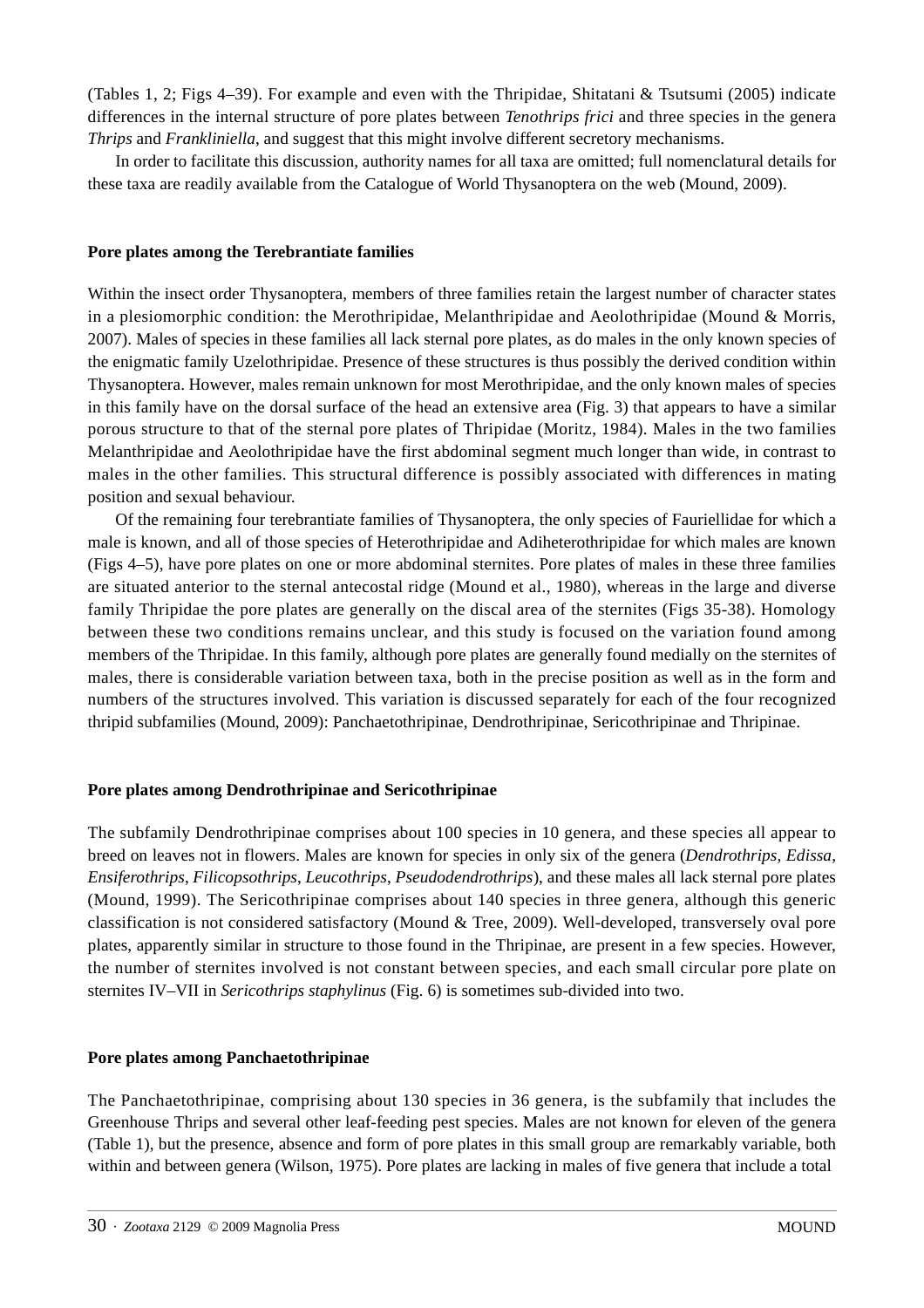(Tables 1, 2; Figs 4–39). For example and even with the Thripidae, Shitatani & Tsutsumi (2005) indicate differences in the internal structure of pore plates between *Tenothrips frici* and three species in the genera *Thrips* and *Frankliniella*, and suggest that this might involve different secretory mechanisms.

In order to facilitate this discussion, authority names for all taxa are omitted; full nomenclatural details for these taxa are readily available from the Catalogue of World Thysanoptera on the web (Mound, 2009).

### **Pore plates among the Terebrantiate families**

Within the insect order Thysanoptera, members of three families retain the largest number of character states in a plesiomorphic condition: the Merothripidae, Melanthripidae and Aeolothripidae (Mound & Morris, 2007). Males of species in these families all lack sternal pore plates, as do males in the only known species of the enigmatic family Uzelothripidae. Presence of these structures is thus possibly the derived condition within Thysanoptera. However, males remain unknown for most Merothripidae, and the only known males of species in this family have on the dorsal surface of the head an extensive area (Fig. 3) that appears to have a similar porous structure to that of the sternal pore plates of Thripidae (Moritz, 1984). Males in the two families Melanthripidae and Aeolothripidae have the first abdominal segment much longer than wide, in contrast to males in the other families. This structural difference is possibly associated with differences in mating position and sexual behaviour.

Of the remaining four terebrantiate families of Thysanoptera, the only species of Fauriellidae for which a male is known, and all of those species of Heterothripidae and Adiheterothripidae for which males are known (Figs 4–5), have pore plates on one or more abdominal sternites. Pore plates of males in these three families are situated anterior to the sternal antecostal ridge (Mound et al., 1980), whereas in the large and diverse family Thripidae the pore plates are generally on the discal area of the sternites (Figs 35-38). Homology between these two conditions remains unclear, and this study is focused on the variation found among members of the Thripidae. In this family, although pore plates are generally found medially on the sternites of males, there is considerable variation between taxa, both in the precise position as well as in the form and numbers of the structures involved. This variation is discussed separately for each of the four recognized thripid subfamilies (Mound, 2009): Panchaetothripinae, Dendrothripinae, Sericothripinae and Thripinae.

# **Pore plates among Dendrothripinae and Sericothripinae**

The subfamily Dendrothripinae comprises about 100 species in 10 genera, and these species all appear to breed on leaves not in flowers. Males are known for species in only six of the genera (*Dendrothrips*, *Edissa*, *Ensiferothrips*, *Filicopsothrips*, *Leucothrips*, *Pseudodendrothrips*), and these males all lack sternal pore plates (Mound, 1999). The Sericothripinae comprises about 140 species in three genera, although this generic classification is not considered satisfactory (Mound & Tree, 2009). Well-developed, transversely oval pore plates, apparently similar in structure to those found in the Thripinae, are present in a few species. However, the number of sternites involved is not constant between species, and each small circular pore plate on sternites IV–VII in *Sericothrips staphylinus* (Fig. 6) is sometimes sub-divided into two.

# **Pore plates among Panchaetothripinae**

The Panchaetothripinae, comprising about 130 species in 36 genera, is the subfamily that includes the Greenhouse Thrips and several other leaf-feeding pest species. Males are not known for eleven of the genera (Table 1), but the presence, absence and form of pore plates in this small group are remarkably variable, both within and between genera (Wilson, 1975). Pore plates are lacking in males of five genera that include a total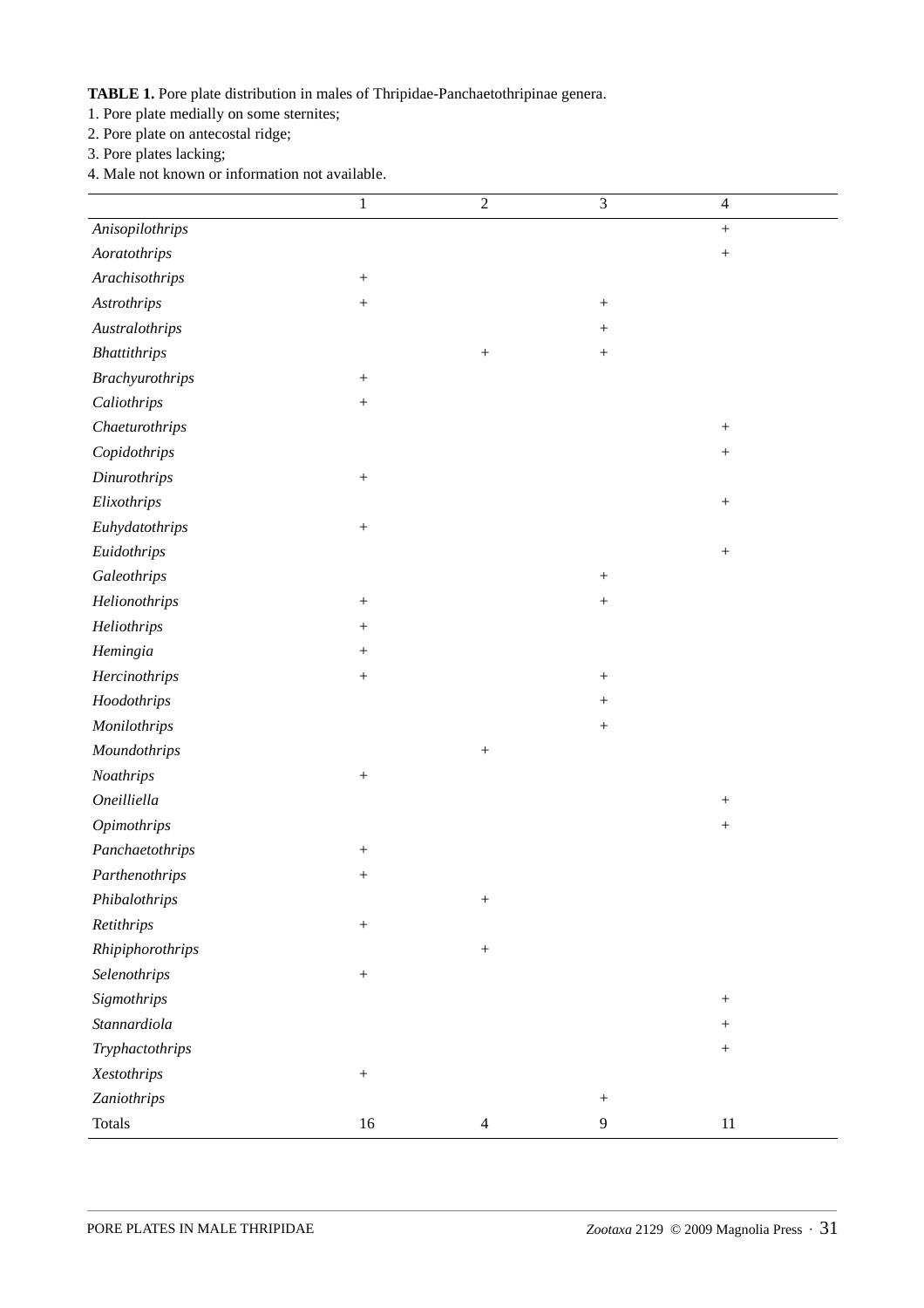**TABLE 1.** Pore plate distribution in males of Thripidae-Panchaetothripinae genera.

- 1. Pore plate medially on some sternites;
- 2. Pore plate on antecostal ridge;
- 3. Pore plates lacking;
- 4. Male not known or information not available.

|                        | $\mathbf{1}$     | $\overline{2}$   | $\mathfrak{Z}$   | $\overline{4}$    |
|------------------------|------------------|------------------|------------------|-------------------|
| Anisopilothrips        |                  |                  |                  | $\qquad \qquad +$ |
| Aoratothrips           |                  |                  |                  | $\boldsymbol{+}$  |
| Arachisothrips         | $\boldsymbol{+}$ |                  |                  |                   |
| <b>Astrothrips</b>     | $\boldsymbol{+}$ |                  | $^{+}$           |                   |
| Australothrips         |                  |                  | $^{+}$           |                   |
| <b>Bhattithrips</b>    |                  | $\boldsymbol{+}$ |                  |                   |
| <b>Brachyurothrips</b> | $\boldsymbol{+}$ |                  |                  |                   |
| Caliothrips            | $\boldsymbol{+}$ |                  |                  |                   |
| Chaeturothrips         |                  |                  |                  | $\boldsymbol{+}$  |
| Copidothrips           |                  |                  |                  | $\boldsymbol{+}$  |
| Dinurothrips           | $\boldsymbol{+}$ |                  |                  |                   |
| Elixothrips            |                  |                  |                  | $\boldsymbol{+}$  |
| Euhydatothrips         | $\boldsymbol{+}$ |                  |                  |                   |
| Euidothrips            |                  |                  |                  | $\boldsymbol{+}$  |
| Galeothrips            |                  |                  |                  |                   |
| Helionothrips          | $\boldsymbol{+}$ |                  | $\boldsymbol{+}$ |                   |
| Heliothrips            | $^{+}$           |                  |                  |                   |
| Hemingia               | $\boldsymbol{+}$ |                  |                  |                   |
| Hercinothrips          | $\boldsymbol{+}$ |                  | $\boldsymbol{+}$ |                   |
| Hoodothrips            |                  |                  | $^{+}$           |                   |
| Monilothrips           |                  |                  |                  |                   |
| Moundothrips           |                  | $\boldsymbol{+}$ |                  |                   |
| <b>Noathrips</b>       |                  |                  |                  |                   |
| Oneilliella            |                  |                  |                  |                   |
| Opimothrips            |                  |                  |                  | $\boldsymbol{+}$  |
| Panchaetothrips        | $^{+}$           |                  |                  |                   |
| Parthenothrips         | $^{+}$           |                  |                  |                   |
| Phibalothrips          |                  | $\boldsymbol{+}$ |                  |                   |
| Retithrips             | $\boldsymbol{+}$ |                  |                  |                   |
| Rhipiphorothrips       |                  | $\! + \!$        |                  |                   |
| Selenothrips           | $\boldsymbol{+}$ |                  |                  |                   |
| Sigmothrips            |                  |                  |                  | $\boldsymbol{+}$  |
| Stannardiola           |                  |                  |                  |                   |
| Tryphactothrips        |                  |                  |                  | $\boldsymbol{+}$  |
| Xestothrips            | $\boldsymbol{+}$ |                  |                  |                   |
| Zaniothrips            |                  |                  | $\boldsymbol{+}$ |                   |
| <b>Totals</b>          | $16\,$           | $\overline{4}$   | $\overline{9}$   | $11\,$            |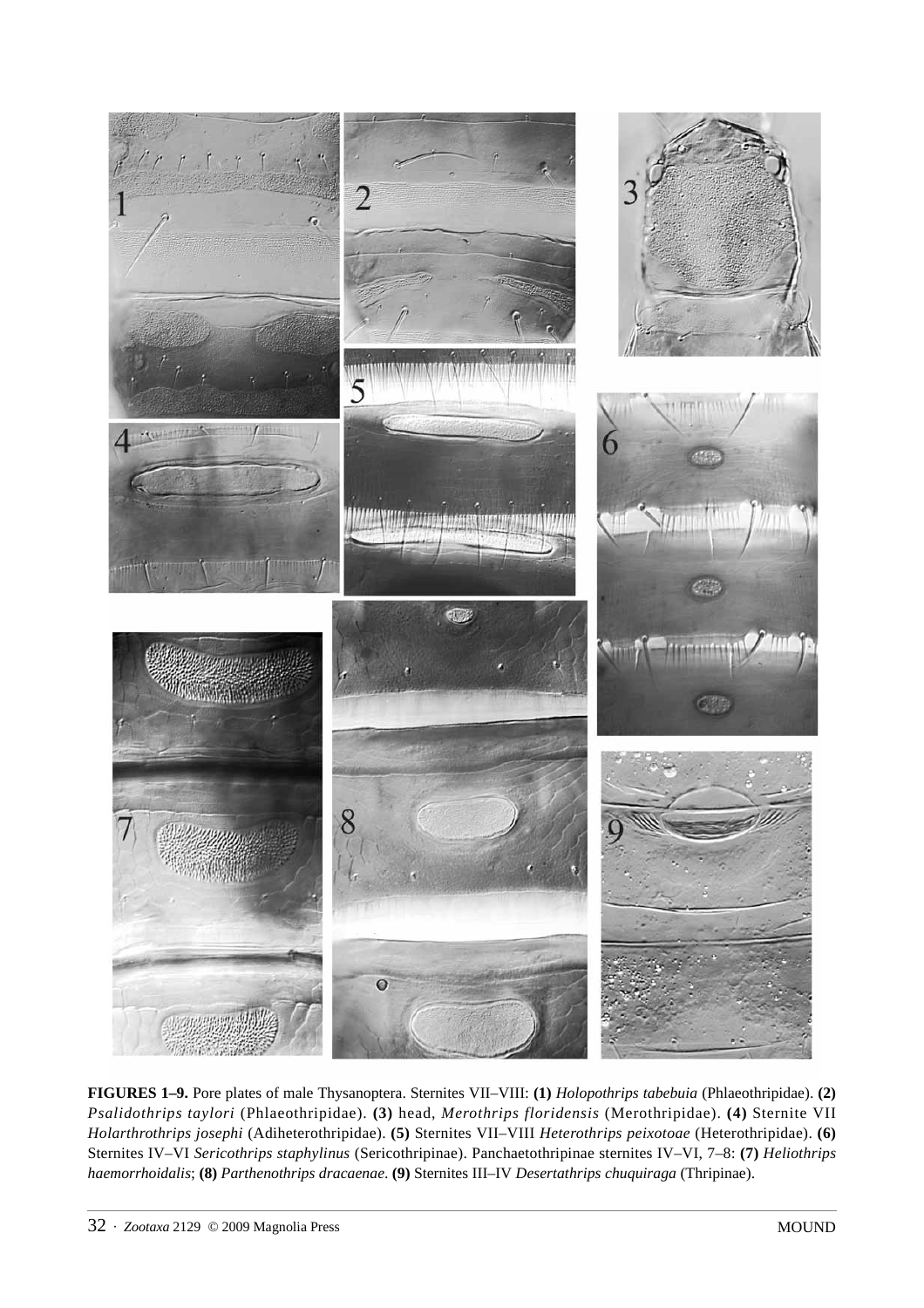

**FIGURES 1–9.** Pore plates of male Thysanoptera. Sternites VII–VIII: **(1)** *Holopothrips tabebuia* (Phlaeothripidae). **(2)** *Psalidothrips taylori* (Phlaeothripidae). **(3)** head, *Merothrips floridensis* (Merothripidae). **(4)** Sternite VII *Holarthrothrips josephi* (Adiheterothripidae). **(5)** Sternites VII–VIII *Heterothrips peixotoae* (Heterothripidae). **(6)** Sternites IV–VI *Sericothrips staphylinus* (Sericothripinae). Panchaetothripinae sternites IV–VI, 7–8: **(7)** *Heliothrips haemorrhoidalis*; **(8)** *Parthenothrips dracaenae*. **(9)** Sternites III–IV *Desertathrips chuquiraga* (Thripinae).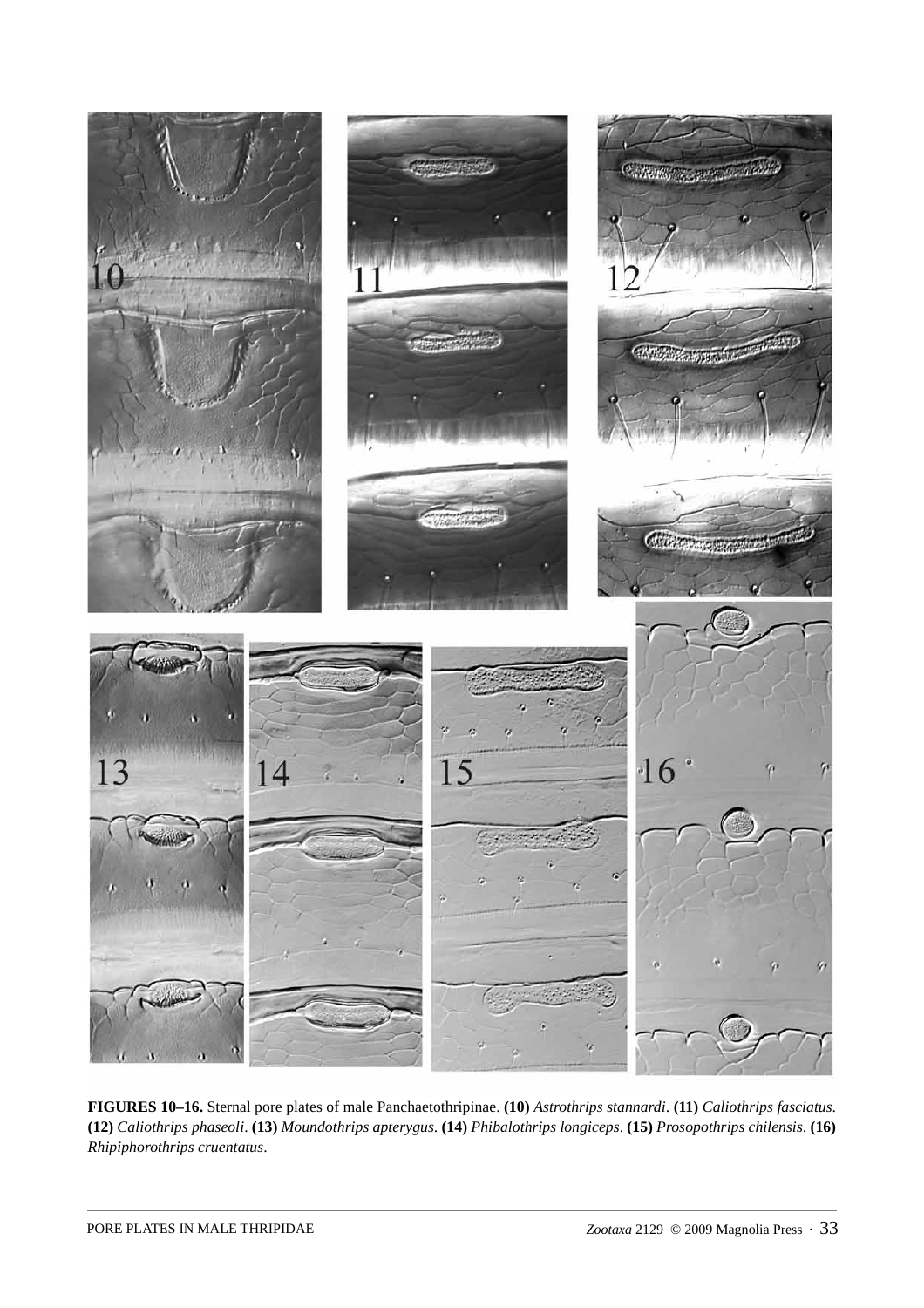

**FIGURES 10–16.** Sternal pore plates of male Panchaetothripinae. **(10)** *Astrothrips stannardi*. **(11)** *Caliothrips fasciatus*. **(12)** *Caliothrips phaseoli*. **(13)** *Moundothrips apterygus*. **(14)** *Phibalothrips longiceps*. **(15)** *Prosopothrips chilensis*. **(16)** *Rhipiphorothrips cruentatus*.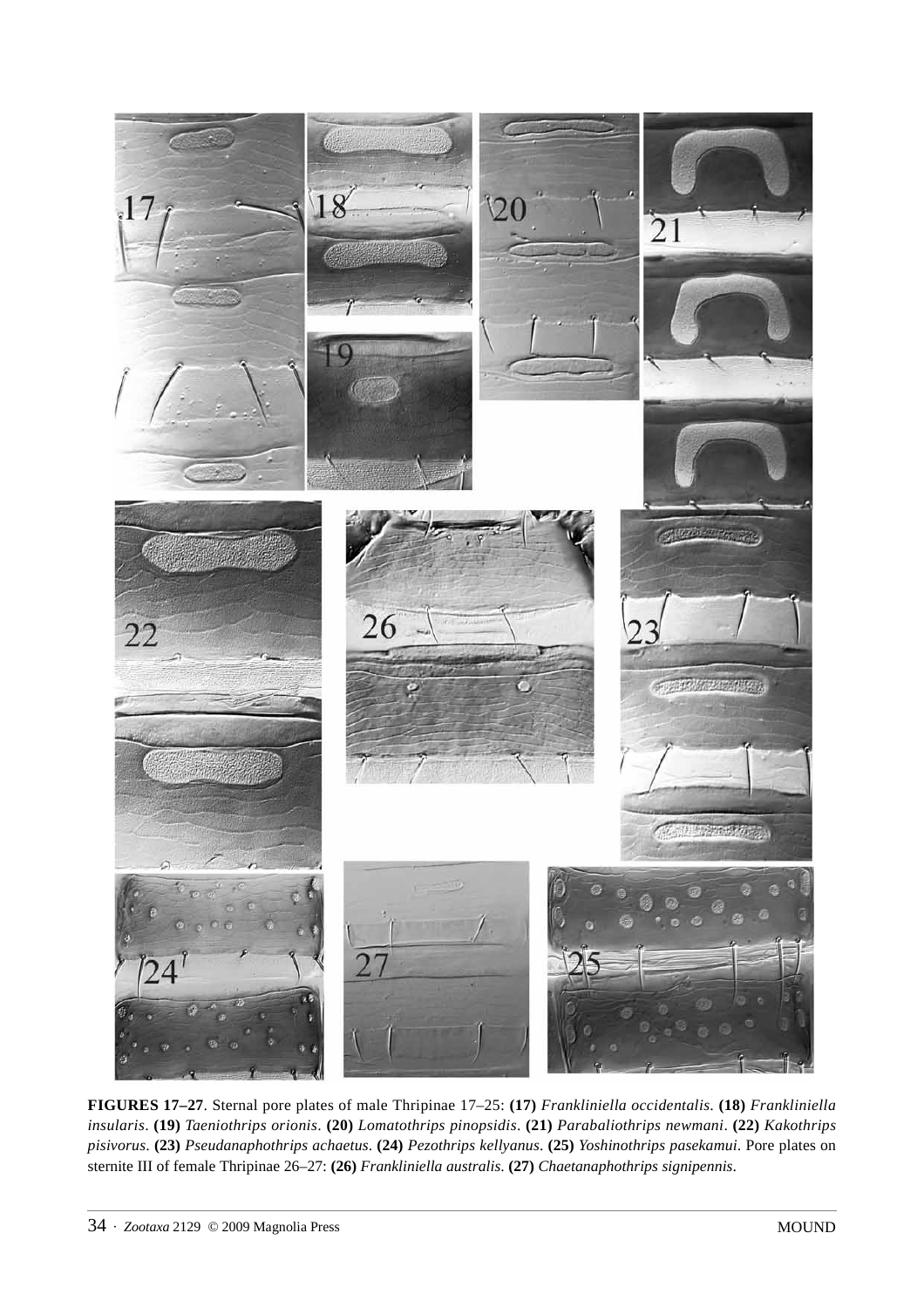![](_page_5_Picture_0.jpeg)

**FIGURES 17–27**. Sternal pore plates of male Thripinae 17–25: **(17)** *Frankliniella occidentalis*. **(18)** *Frankliniella insularis*. **(19)** *Taeniothrips orionis*. **(20)** *Lomatothrips pinopsidis*. **(21)** *Parabaliothrips newmani*. **(22)** *Kakothrips pisivorus*. **(23)** *Pseudanaphothrips achaetus*. **(24)** *Pezothrips kellyanus*. **(25)** *Yoshinothrips pasekamui*. Pore plates on sternite III of female Thripinae 26–27: **(26)** *Frankliniella australis*. **(27)** *Chaetanaphothrips signipennis*.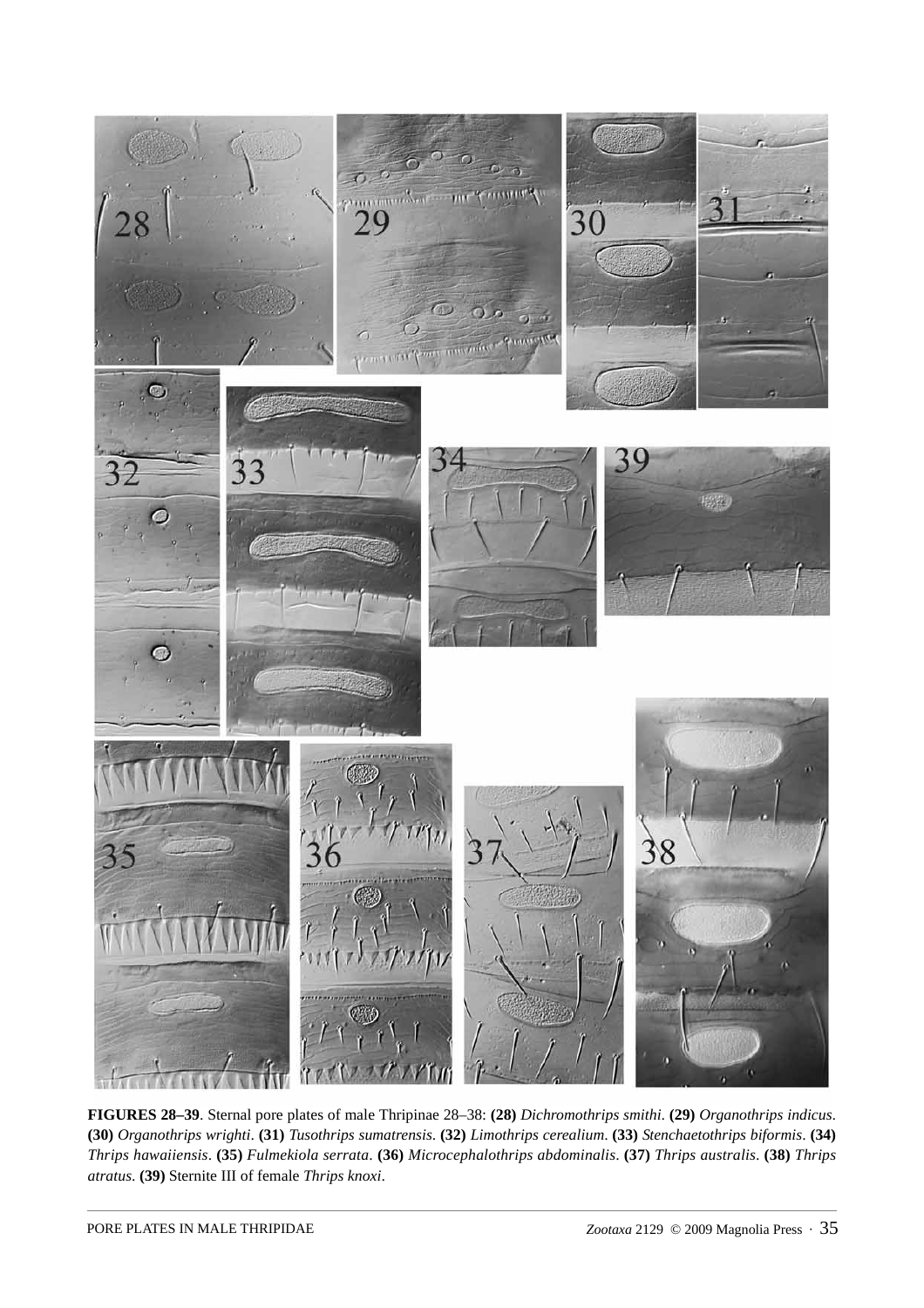![](_page_6_Picture_0.jpeg)

**FIGURES 28–39**. Sternal pore plates of male Thripinae 28–38: **(28)** *Dichromothrips smithi*. **(29)** *Organothrips indicus*. **(30)** *Organothrips wrighti*. **(31)** *Tusothrips sumatrensis*. **(32)** *Limothrips cerealium*. **(33)** *Stenchaetothrips biformis*. **(34)** *Thrips hawaiiensis*. **(35)** *Fulmekiola serrata*. **(36)** *Microcephalothrips abdominalis*. **(37)** *Thrips australis*. **(38)** *Thrips atratus*. **(39)** Sternite III of female *Thrips knoxi*.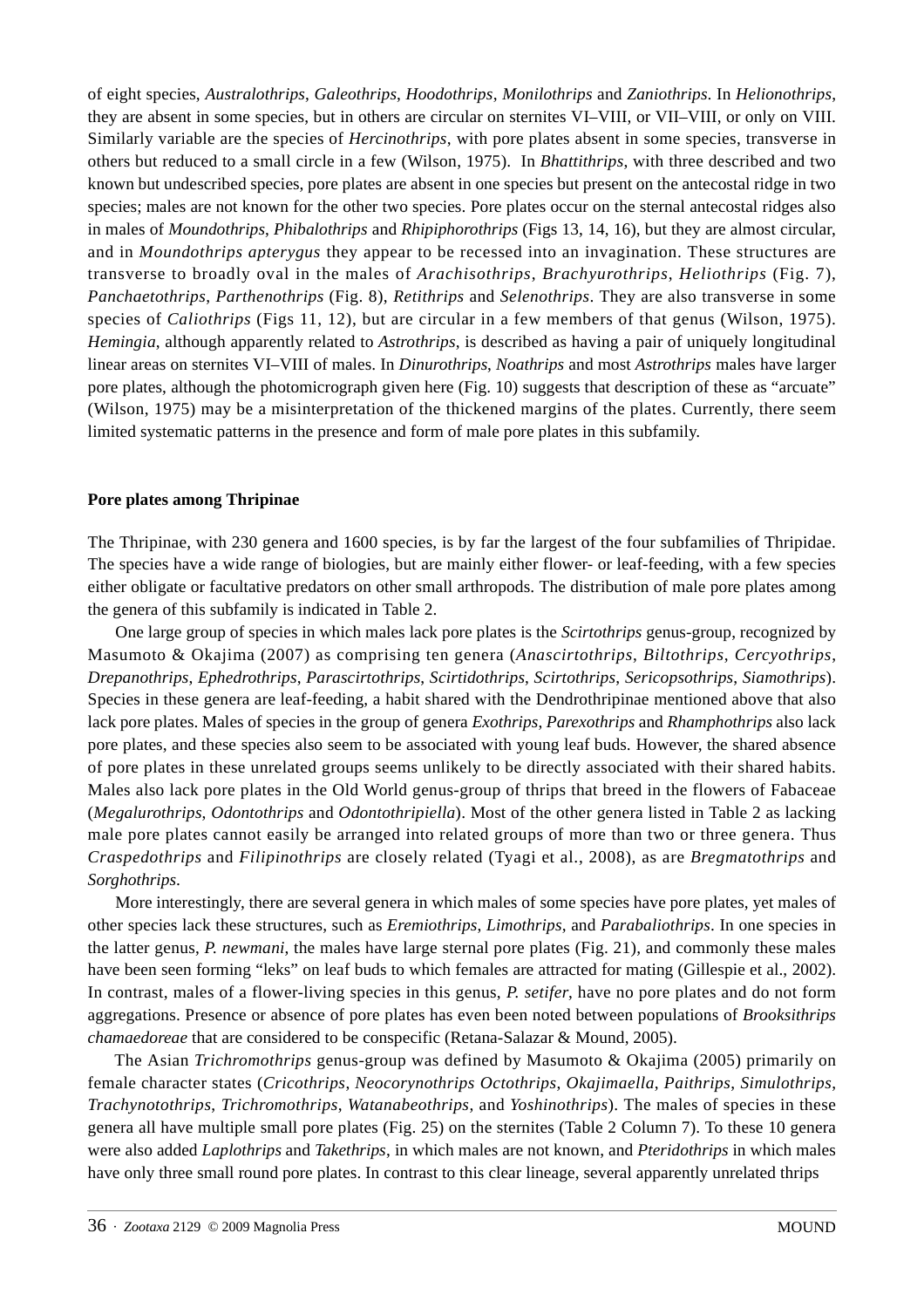of eight species, *Australothrips*, *Galeothrips*, *Hoodothrips*, *Monilothrips* and *Zaniothrips*. In *Helionothrips*, they are absent in some species, but in others are circular on sternites VI–VIII, or VII–VIII, or only on VIII. Similarly variable are the species of *Hercinothrips*, with pore plates absent in some species, transverse in others but reduced to a small circle in a few (Wilson, 1975). In *Bhattithrips*, with three described and two known but undescribed species, pore plates are absent in one species but present on the antecostal ridge in two species; males are not known for the other two species. Pore plates occur on the sternal antecostal ridges also in males of *Moundothrips*, *Phibalothrips* and *Rhipiphorothrips* (Figs 13, 14, 16), but they are almost circular, and in *Moundothrips apterygus* they appear to be recessed into an invagination. These structures are transverse to broadly oval in the males of *Arachisothrips*, *Brachyurothrips*, *Heliothrips* (Fig. 7), *Panchaetothrips*, *Parthenothrips* (Fig. 8), *Retithrips* and *Selenothrips*. They are also transverse in some species of *Caliothrips* (Figs 11, 12), but are circular in a few members of that genus (Wilson, 1975). *Hemingia*, although apparently related to *Astrothrips*, is described as having a pair of uniquely longitudinal linear areas on sternites VI–VIII of males. In *Dinurothrips*, *Noathrips* and most *Astrothrips* males have larger pore plates, although the photomicrograph given here (Fig. 10) suggests that description of these as "arcuate" (Wilson, 1975) may be a misinterpretation of the thickened margins of the plates. Currently, there seem limited systematic patterns in the presence and form of male pore plates in this subfamily.

# **Pore plates among Thripinae**

The Thripinae, with 230 genera and 1600 species, is by far the largest of the four subfamilies of Thripidae. The species have a wide range of biologies, but are mainly either flower- or leaf-feeding, with a few species either obligate or facultative predators on other small arthropods. The distribution of male pore plates among the genera of this subfamily is indicated in Table 2.

One large group of species in which males lack pore plates is the *Scirtothrips* genus-group, recognized by Masumoto & Okajima (2007) as comprising ten genera (*Anascirtothrips*, *Biltothrips*, *Cercyothrips*, *Drepanothrips*, *Ephedrothrips*, *Parascirtothrips*, *Scirtidothrips*, *Scirtothrips*, *Sericopsothrips*, *Siamothrips*). Species in these genera are leaf-feeding, a habit shared with the Dendrothripinae mentioned above that also lack pore plates. Males of species in the group of genera *Exothrips*, *Parexothrips* and *Rhamphothrips* also lack pore plates, and these species also seem to be associated with young leaf buds. However, the shared absence of pore plates in these unrelated groups seems unlikely to be directly associated with their shared habits. Males also lack pore plates in the Old World genus-group of thrips that breed in the flowers of Fabaceae (*Megalurothrips*, *Odontothrips* and *Odontothripiella*). Most of the other genera listed in Table 2 as lacking male pore plates cannot easily be arranged into related groups of more than two or three genera. Thus *Craspedothrips* and *Filipinothrips* are closely related (Tyagi et al., 2008), as are *Bregmatothrips* and *Sorghothrips*.

More interestingly, there are several genera in which males of some species have pore plates, yet males of other species lack these structures, such as *Eremiothrips*, *Limothrips*, and *Parabaliothrips*. In one species in the latter genus, *P. newmani*, the males have large sternal pore plates (Fig. 21), and commonly these males have been seen forming "leks" on leaf buds to which females are attracted for mating (Gillespie et al., 2002). In contrast, males of a flower-living species in this genus, *P. setifer*, have no pore plates and do not form aggregations. Presence or absence of pore plates has even been noted between populations of *Brooksithrips chamaedoreae* that are considered to be conspecific (Retana-Salazar & Mound, 2005).

The Asian *Trichromothrips* genus-group was defined by Masumoto & Okajima (2005) primarily on female character states (*Cricothrips*, *Neocorynothrips Octothrips*, *Okajimaella*, *Paithrips*, *Simulothrips*, *Trachynotothrips*, *Trichromothrips*, *Watanabeothrips*, and *Yoshinothrips*). The males of species in these genera all have multiple small pore plates (Fig. 25) on the sternites (Table 2 Column 7). To these 10 genera were also added *Laplothrips* and *Takethrips*, in which males are not known, and *Pteridothrips* in which males have only three small round pore plates. In contrast to this clear lineage, several apparently unrelated thrips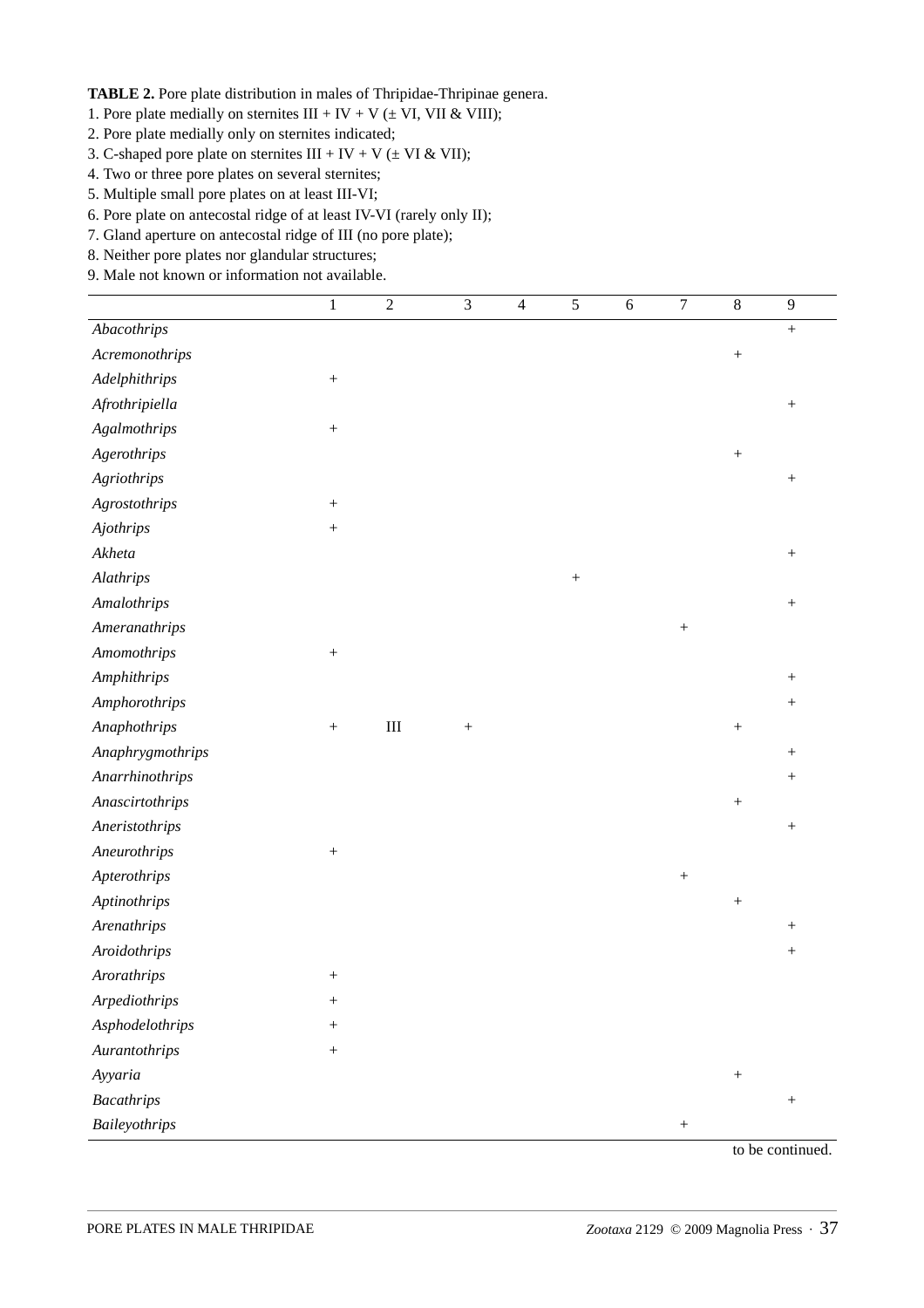#### **TABLE 2.** Pore plate distribution in males of Thripidae-Thripinae genera.

- 1. Pore plate medially on sternites  $III + IV + V$  ( $\pm VI$ , VII & VIII);
- 2. Pore plate medially only on sternites indicated;
- 3. C-shaped pore plate on sternites  $III + IV + V$  ( $\pm VI$  & VII);
- 4. Two or three pore plates on several sternites;
- 5. Multiple small pore plates on at least III-VI;
- 6. Pore plate on antecostal ridge of at least IV-VI (rarely only II);
- 7. Gland aperture on antecostal ridge of III (no pore plate);
- 8. Neither pore plates nor glandular structures;
- 9. Male not known or information not available.

|                    | $\,1$            | $\mathfrak{2}$ | $\mathfrak{Z}$   | $\overline{4}$ | $\mathfrak s$ | $\sqrt{6}$ | $\tau$           | $\,8\,$          | 9                  |
|--------------------|------------------|----------------|------------------|----------------|---------------|------------|------------------|------------------|--------------------|
| A bacothrips       |                  |                |                  |                |               |            |                  |                  | $\boldsymbol{+}$   |
| Acremonothrips     |                  |                |                  |                |               |            |                  | $\boldsymbol{+}$ |                    |
| Adelphithrips      |                  |                |                  |                |               |            |                  |                  |                    |
| Afrothripiella     |                  |                |                  |                |               |            |                  |                  |                    |
| Agalmothrips       | $\boldsymbol{+}$ |                |                  |                |               |            |                  |                  |                    |
| Agerothrips        |                  |                |                  |                |               |            |                  | $\boldsymbol{+}$ |                    |
| <b>Agriothrips</b> |                  |                |                  |                |               |            |                  |                  | $^{+}$             |
| Agrostothrips      | $\boldsymbol{+}$ |                |                  |                |               |            |                  |                  |                    |
| Ajothrips          |                  |                |                  |                |               |            |                  |                  |                    |
| Akheta             |                  |                |                  |                |               |            |                  |                  | $^{+}$             |
| Alathrips          |                  |                |                  |                | $\! + \!$     |            |                  |                  |                    |
| Amalothrips        |                  |                |                  |                |               |            |                  |                  |                    |
| Ameranathrips      |                  |                |                  |                |               |            | $\boldsymbol{+}$ |                  |                    |
| Amomothrips        | $\boldsymbol{+}$ |                |                  |                |               |            |                  |                  |                    |
| Amphithrips        |                  |                |                  |                |               |            |                  |                  | $^{+}$             |
| Amphorothrips      |                  |                |                  |                |               |            |                  |                  | $^{+}$             |
| Anaphothrips       | $\boldsymbol{+}$ | $\rm III$      | $\boldsymbol{+}$ |                |               |            |                  | $\! + \!$        |                    |
| Anaphrygmothrips   |                  |                |                  |                |               |            |                  |                  |                    |
| Anarrhinothrips    |                  |                |                  |                |               |            |                  |                  | $\hspace{0.1mm} +$ |
| Anascirtothrips    |                  |                |                  |                |               |            |                  | $\! + \!$        |                    |
| Aneristothrips     |                  |                |                  |                |               |            |                  |                  | $^{+}$             |
| Aneurothrips       |                  |                |                  |                |               |            |                  |                  |                    |
| Apterothrips       |                  |                |                  |                |               |            | $\boldsymbol{+}$ |                  |                    |
| Aptinothrips       |                  |                |                  |                |               |            |                  | $\boldsymbol{+}$ |                    |
| Arenathrips        |                  |                |                  |                |               |            |                  |                  | $^{+}$             |
| Aroidothrips       |                  |                |                  |                |               |            |                  |                  |                    |
| Arorathrips        |                  |                |                  |                |               |            |                  |                  |                    |
| Arpediothrips      |                  |                |                  |                |               |            |                  |                  |                    |
| Asphodelothrips    | $^{+}$           |                |                  |                |               |            |                  |                  |                    |
| Aurantothrips      | $\boldsymbol{+}$ |                |                  |                |               |            |                  |                  |                    |
| Ayyaria            |                  |                |                  |                |               |            |                  | $^{+}$           |                    |
| <b>Bacathrips</b>  |                  |                |                  |                |               |            |                  |                  | $\boldsymbol{+}$   |
| Baileyothrips      |                  |                |                  |                |               |            | $\boldsymbol{+}$ |                  |                    |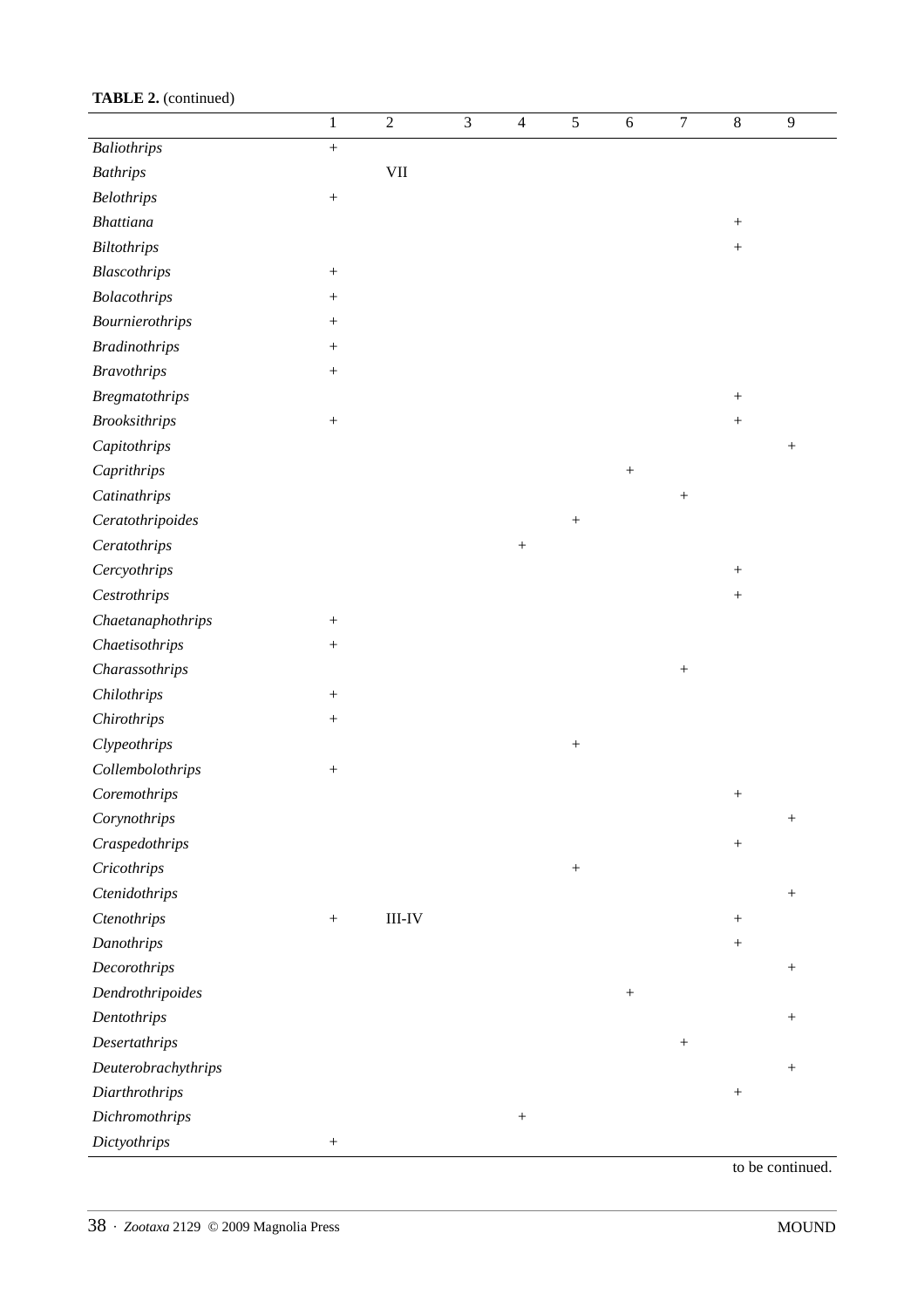|                       | $\,1$            | $\sqrt{2}$      | 3 | $\overline{4}$   | $\sqrt{5}$       | 6      | $\boldsymbol{7}$ | $\,8\,$          | $\mathbf{9}$    |
|-----------------------|------------------|-----------------|---|------------------|------------------|--------|------------------|------------------|-----------------|
| <b>Baliothrips</b>    | $\boldsymbol{+}$ |                 |   |                  |                  |        |                  |                  |                 |
| <b>Bathrips</b>       |                  | $\rm{VII}$      |   |                  |                  |        |                  |                  |                 |
| <b>Belothrips</b>     | $\boldsymbol{+}$ |                 |   |                  |                  |        |                  |                  |                 |
| <b>Bhattiana</b>      |                  |                 |   |                  |                  |        |                  | $\boldsymbol{+}$ |                 |
| <b>Biltothrips</b>    |                  |                 |   |                  |                  |        |                  | $\boldsymbol{+}$ |                 |
| Blascothrips          | $\boldsymbol{+}$ |                 |   |                  |                  |        |                  |                  |                 |
| <b>Bolacothrips</b>   | $\boldsymbol{+}$ |                 |   |                  |                  |        |                  |                  |                 |
| Bournierothrips       | $\! + \!\!\!\!$  |                 |   |                  |                  |        |                  |                  |                 |
| <b>Bradinothrips</b>  |                  |                 |   |                  |                  |        |                  |                  |                 |
| <b>Bravothrips</b>    | $\boldsymbol{+}$ |                 |   |                  |                  |        |                  |                  |                 |
| <b>Bregmatothrips</b> |                  |                 |   |                  |                  |        |                  | $\boldsymbol{+}$ |                 |
| <b>Brooksithrips</b>  | $\boldsymbol{+}$ |                 |   |                  |                  |        |                  |                  |                 |
| Capitothrips          |                  |                 |   |                  |                  |        |                  |                  |                 |
| Caprithrips           |                  |                 |   |                  |                  | $^{+}$ |                  |                  |                 |
| Catinathrips          |                  |                 |   |                  |                  |        | $\boldsymbol{+}$ |                  |                 |
| Ceratothripoides      |                  |                 |   |                  | $\boldsymbol{+}$ |        |                  |                  |                 |
| Ceratothrips          |                  |                 |   | $\! + \!$        |                  |        |                  |                  |                 |
| Cercyothrips          |                  |                 |   |                  |                  |        |                  | $\boldsymbol{+}$ |                 |
| Cestrothrips          |                  |                 |   |                  |                  |        |                  | $\boldsymbol{+}$ |                 |
| Chaetanaphothrips     | $\boldsymbol{+}$ |                 |   |                  |                  |        |                  |                  |                 |
| Chaetisothrips        | $\boldsymbol{+}$ |                 |   |                  |                  |        |                  |                  |                 |
| Charassothrips        |                  |                 |   |                  |                  |        | $\boldsymbol{+}$ |                  |                 |
| Chilothrips           | $\boldsymbol{+}$ |                 |   |                  |                  |        |                  |                  |                 |
| Chirothrips           | $\boldsymbol{+}$ |                 |   |                  |                  |        |                  |                  |                 |
| Clypeothrips          |                  |                 |   |                  | $\boldsymbol{+}$ |        |                  |                  |                 |
| Collembolothrips      | $\boldsymbol{+}$ |                 |   |                  |                  |        |                  |                  |                 |
| Coremothrips          |                  |                 |   |                  |                  |        |                  |                  |                 |
| Corynothrips          |                  |                 |   |                  |                  |        |                  |                  | $\! + \!\!\!\!$ |
| Craspedothrips        |                  |                 |   |                  |                  |        |                  | $\boldsymbol{+}$ |                 |
| Cricothrips           |                  |                 |   |                  | $\boldsymbol{+}$ |        |                  |                  |                 |
| Ctenidothrips         |                  |                 |   |                  |                  |        |                  |                  | $\! + \!\!\!\!$ |
| Ctenothrips           | $^{+}$           | $\text{III-IV}$ |   |                  |                  |        |                  | $^{+}$           |                 |
| Danothrips            |                  |                 |   |                  |                  |        |                  |                  |                 |
| Decorothrips          |                  |                 |   |                  |                  |        |                  |                  | $\! + \!\!\!\!$ |
| Dendrothripoides      |                  |                 |   |                  |                  | $+$    |                  |                  |                 |
| Dentothrips           |                  |                 |   |                  |                  |        |                  |                  |                 |
| Desertathrips         |                  |                 |   |                  |                  |        | $\boldsymbol{+}$ |                  |                 |
| Deuterobrachythrips   |                  |                 |   |                  |                  |        |                  |                  | $+$             |
| Diarthrothrips        |                  |                 |   |                  |                  |        |                  | $\boldsymbol{+}$ |                 |
| Dichromothrips        |                  |                 |   | $\boldsymbol{+}$ |                  |        |                  |                  |                 |
| Dictyothrips          | $\boldsymbol{+}$ |                 |   |                  |                  |        |                  |                  |                 |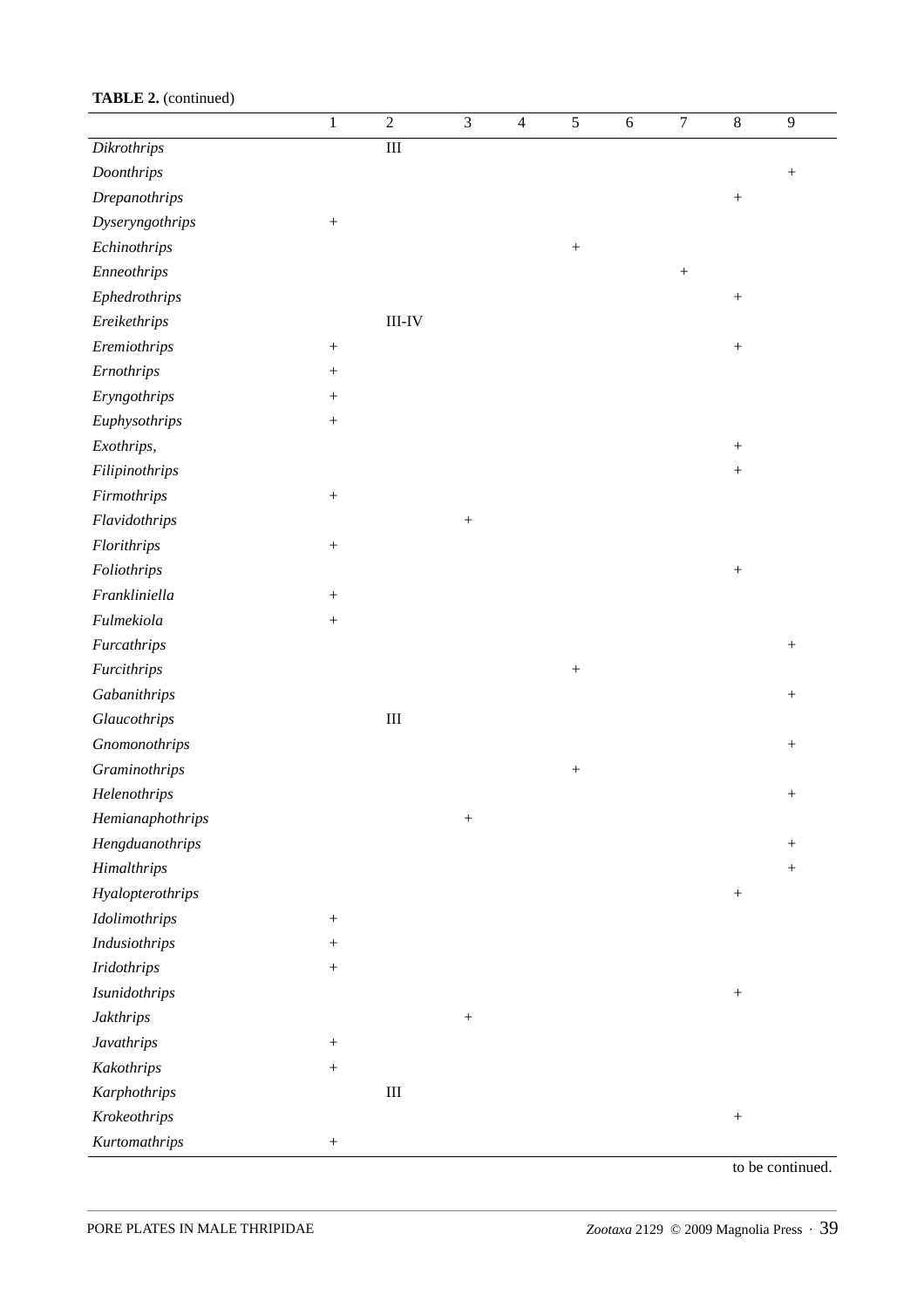|                      | $\mathbf{1}$     | $\overline{2}$  | $\mathfrak{Z}$   | $\overline{4}$ | 5                | $\sqrt{6}$ | $\tau$           | $\,8\,$          | $\overline{9}$   |
|----------------------|------------------|-----------------|------------------|----------------|------------------|------------|------------------|------------------|------------------|
| Dikrothrips          |                  | $\rm III$       |                  |                |                  |            |                  |                  |                  |
| Doonthrips           |                  |                 |                  |                |                  |            |                  |                  | $\! + \!$        |
| Drepanothrips        |                  |                 |                  |                |                  |            |                  | $\boldsymbol{+}$ |                  |
| Dyseryngothrips      | $\boldsymbol{+}$ |                 |                  |                |                  |            |                  |                  |                  |
| Echinothrips         |                  |                 |                  |                | $\! + \!$        |            |                  |                  |                  |
| Enneothrips          |                  |                 |                  |                |                  |            | $\boldsymbol{+}$ |                  |                  |
| Ephedrothrips        |                  |                 |                  |                |                  |            |                  | $\boldsymbol{+}$ |                  |
| Ereikethrips         |                  | $\text{III-IV}$ |                  |                |                  |            |                  |                  |                  |
| Eremiothrips         | $\boldsymbol{+}$ |                 |                  |                |                  |            |                  | $\boldsymbol{+}$ |                  |
| Ernothrips           | $\boldsymbol{+}$ |                 |                  |                |                  |            |                  |                  |                  |
| Eryngothrips         | $\boldsymbol{+}$ |                 |                  |                |                  |            |                  |                  |                  |
| Euphysothrips        | $\boldsymbol{+}$ |                 |                  |                |                  |            |                  |                  |                  |
| Exothrips,           |                  |                 |                  |                |                  |            |                  | $\boldsymbol{+}$ |                  |
| Filipinothrips       |                  |                 |                  |                |                  |            |                  | $\boldsymbol{+}$ |                  |
| Firmothrips          | $\boldsymbol{+}$ |                 |                  |                |                  |            |                  |                  |                  |
| Flavidothrips        |                  |                 |                  |                |                  |            |                  |                  |                  |
| Florithrips          | $\boldsymbol{+}$ |                 |                  |                |                  |            |                  |                  |                  |
| Foliothrips          |                  |                 |                  |                |                  |            |                  | $\boldsymbol{+}$ |                  |
| Frankliniella        | $\boldsymbol{+}$ |                 |                  |                |                  |            |                  |                  |                  |
| Fulmekiola           | $\boldsymbol{+}$ |                 |                  |                |                  |            |                  |                  |                  |
| Furcathrips          |                  |                 |                  |                |                  |            |                  |                  | $\boldsymbol{+}$ |
| Furcithrips          |                  |                 |                  |                | $\boldsymbol{+}$ |            |                  |                  |                  |
| Gabanithrips         |                  |                 |                  |                |                  |            |                  |                  | $\boldsymbol{+}$ |
| Glaucothrips         |                  | $\rm III$       |                  |                |                  |            |                  |                  |                  |
| Gnomonothrips        |                  |                 |                  |                |                  |            |                  |                  | $\boldsymbol{+}$ |
| Graminothrips        |                  |                 |                  |                |                  |            |                  |                  |                  |
| Helenothrips         |                  |                 |                  |                |                  |            |                  |                  |                  |
| Hemianaphothrips     |                  |                 |                  |                |                  |            |                  |                  |                  |
| Hengduanothrips      |                  |                 |                  |                |                  |            |                  |                  |                  |
| Himalthrips          |                  |                 |                  |                |                  |            |                  |                  |                  |
| Hyalopterothrips     |                  |                 |                  |                |                  |            |                  | $\boldsymbol{+}$ |                  |
| Idolimothrips        | $\boldsymbol{+}$ |                 |                  |                |                  |            |                  |                  |                  |
| Indusiothrips        | $+$              |                 |                  |                |                  |            |                  |                  |                  |
| <b>Iridothrips</b>   | $\boldsymbol{+}$ |                 |                  |                |                  |            |                  |                  |                  |
| <b>Isunidothrips</b> |                  |                 |                  |                |                  |            |                  | $\boldsymbol{+}$ |                  |
| <b>Jakthrips</b>     |                  |                 | $\boldsymbol{+}$ |                |                  |            |                  |                  |                  |
| <b>Javathrips</b>    | $\boldsymbol{+}$ |                 |                  |                |                  |            |                  |                  |                  |
| Kakothrips           | $\boldsymbol{+}$ |                 |                  |                |                  |            |                  |                  |                  |
| Karphothrips         |                  | $\rm III$       |                  |                |                  |            |                  |                  |                  |
| Krokeothrips         |                  |                 |                  |                |                  |            |                  | $\boldsymbol{+}$ |                  |
| Kurtomathrips        | $\boldsymbol{+}$ |                 |                  |                |                  |            |                  |                  |                  |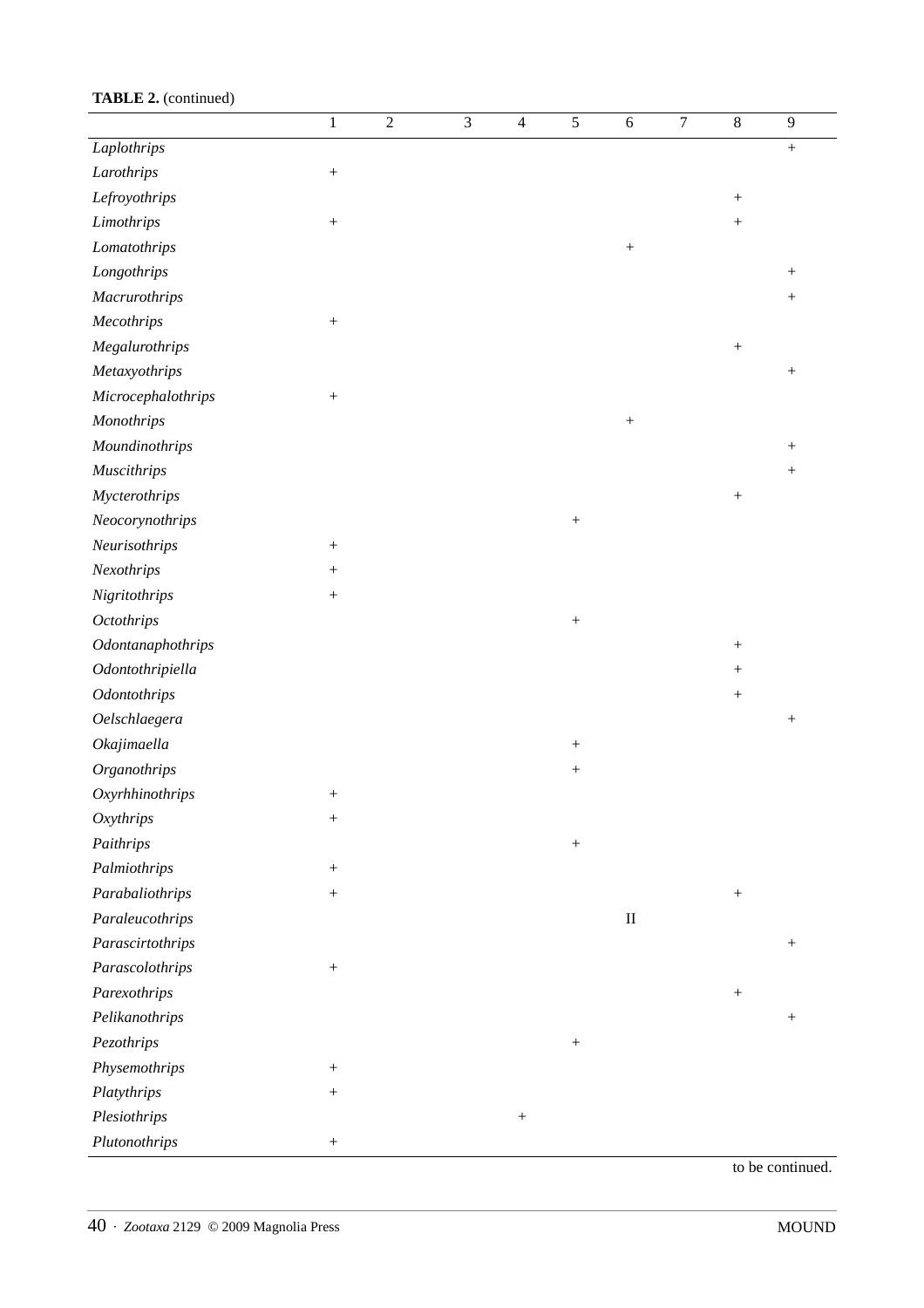|                     | $\,1\,$          | $\sqrt{2}$ | $\mathfrak{Z}$ | $\overline{4}$ | $\sqrt{5}$        | $\sqrt{6}$       | $\boldsymbol{7}$ | $8\,$            | $\overline{9}$   |
|---------------------|------------------|------------|----------------|----------------|-------------------|------------------|------------------|------------------|------------------|
| Laplothrips         |                  |            |                |                |                   |                  |                  |                  | $\boldsymbol{+}$ |
| Larothrips          | $\boldsymbol{+}$ |            |                |                |                   |                  |                  |                  |                  |
| Lefroyothrips       |                  |            |                |                |                   |                  |                  | $\boldsymbol{+}$ |                  |
| Limothrips          | $\boldsymbol{+}$ |            |                |                |                   |                  |                  | $^{+}$           |                  |
| Lomatothrips        |                  |            |                |                |                   | $\boldsymbol{+}$ |                  |                  |                  |
| Longothrips         |                  |            |                |                |                   |                  |                  |                  | $\! +$           |
| Macrurothrips       |                  |            |                |                |                   |                  |                  |                  |                  |
| Mecothrips          | $\! + \!$        |            |                |                |                   |                  |                  |                  |                  |
| Megalurothrips      |                  |            |                |                |                   |                  |                  | $\boldsymbol{+}$ |                  |
| Metaxyothrips       |                  |            |                |                |                   |                  |                  |                  | $\! +$           |
| Microcephalothrips  | $\boldsymbol{+}$ |            |                |                |                   |                  |                  |                  |                  |
| Monothrips          |                  |            |                |                |                   | $\boldsymbol{+}$ |                  |                  |                  |
| Moundinothrips      |                  |            |                |                |                   |                  |                  |                  | $\! +$           |
| <b>Muscithrips</b>  |                  |            |                |                |                   |                  |                  |                  | $^{+}$           |
| Mycterothrips       |                  |            |                |                |                   |                  |                  |                  |                  |
| Neocorynothrips     |                  |            |                |                |                   |                  |                  |                  |                  |
| Neurisothrips       |                  |            |                |                |                   |                  |                  |                  |                  |
| Nexothrips          |                  |            |                |                |                   |                  |                  |                  |                  |
| Nigritothrips       |                  |            |                |                |                   |                  |                  |                  |                  |
| <b>Octothrips</b>   |                  |            |                |                | $\qquad \qquad +$ |                  |                  |                  |                  |
| Odontanaphothrips   |                  |            |                |                |                   |                  |                  | $^{+}$           |                  |
| Odontothripiella    |                  |            |                |                |                   |                  |                  | $^{+}$           |                  |
| <b>Odontothrips</b> |                  |            |                |                |                   |                  |                  | $\boldsymbol{+}$ |                  |
| Oelschlaegera       |                  |            |                |                |                   |                  |                  |                  |                  |
| Okajimaella         |                  |            |                |                |                   |                  |                  |                  |                  |
| Organothrips        |                  |            |                |                |                   |                  |                  |                  |                  |
| Oxyrhhinothrips     |                  |            |                |                |                   |                  |                  |                  |                  |
| Oxythrips           | $\boldsymbol{+}$ |            |                |                |                   |                  |                  |                  |                  |
| Paithrips           |                  |            |                |                | $\boldsymbol{+}$  |                  |                  |                  |                  |
| Palmiothrips        | $\boldsymbol{+}$ |            |                |                |                   |                  |                  |                  |                  |
| Parabaliothrips     | $\boldsymbol{+}$ |            |                |                |                   |                  |                  | $\boldsymbol{+}$ |                  |
| Paraleucothrips     |                  |            |                |                |                   | $\rm II$         |                  |                  |                  |
| Parascirtothrips    |                  |            |                |                |                   |                  |                  |                  | $\! + \!\!\!\!$  |
| Parascolothrips     | $\boldsymbol{+}$ |            |                |                |                   |                  |                  |                  |                  |
| Parexothrips        |                  |            |                |                |                   |                  |                  | $\boldsymbol{+}$ |                  |
| Pelikanothrips      |                  |            |                |                |                   |                  |                  |                  | $\! + \!\!\!\!$  |
| Pezothrips          |                  |            |                |                |                   |                  |                  |                  |                  |
| Physemothrips       | $\boldsymbol{+}$ |            |                |                |                   |                  |                  |                  |                  |
| Platythrips         |                  |            |                |                |                   |                  |                  |                  |                  |
| Plesiothrips        |                  |            |                |                |                   |                  |                  |                  |                  |
| Plutonothrips       | $\boldsymbol{+}$ |            |                |                |                   |                  |                  |                  |                  |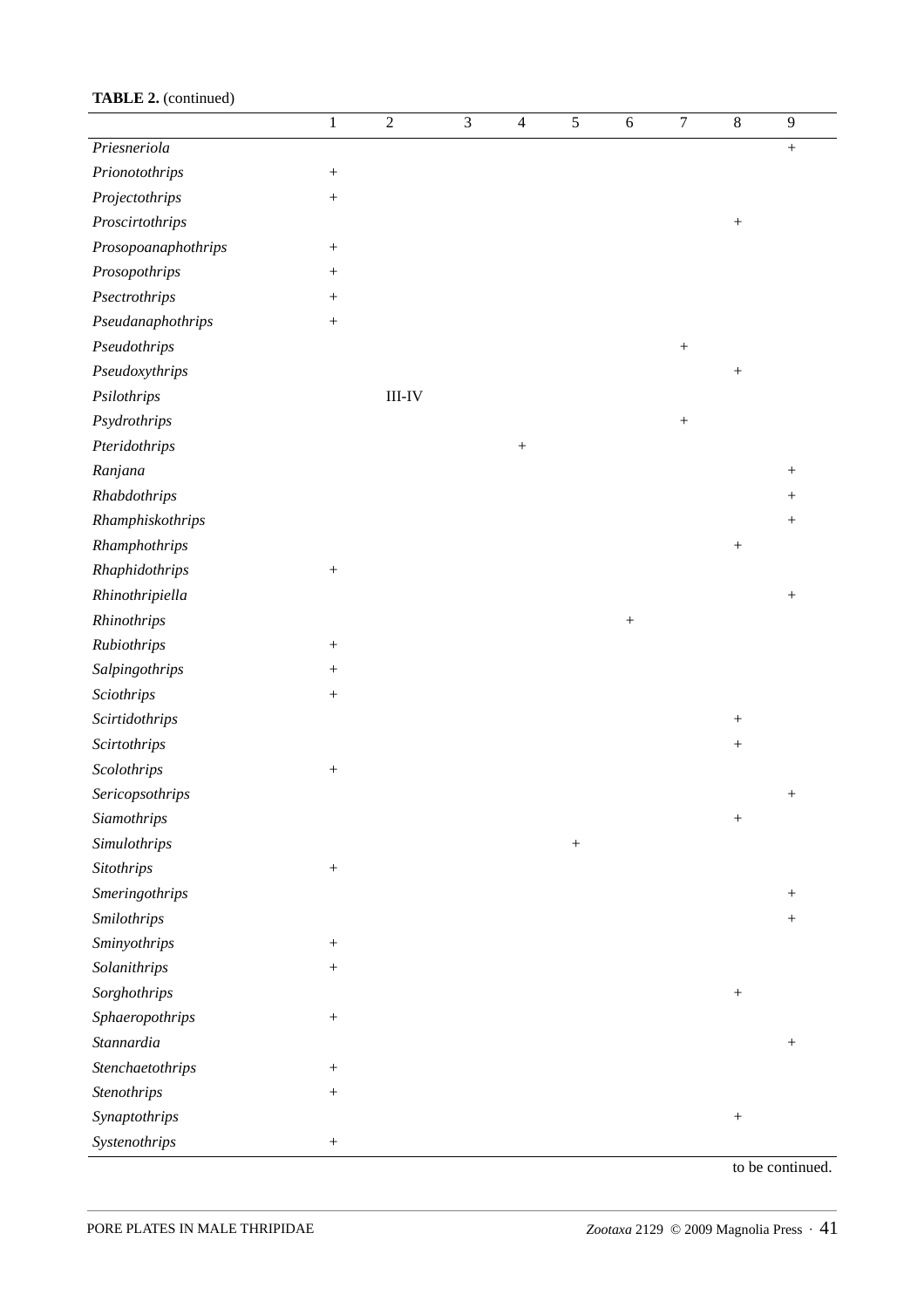|                     | $\,1\,$          | $\sqrt{2}$      | 3 | $\overline{4}$ | 5 | 6   | $\boldsymbol{7}$ | $\,8\,$          | $\mathbf{9}$     |
|---------------------|------------------|-----------------|---|----------------|---|-----|------------------|------------------|------------------|
| Priesneriola        |                  |                 |   |                |   |     |                  |                  | $\boldsymbol{+}$ |
| Prionotothrips      | $\! + \!$        |                 |   |                |   |     |                  |                  |                  |
| Projectothrips      |                  |                 |   |                |   |     |                  |                  |                  |
| Proscirtothrips     |                  |                 |   |                |   |     |                  | $\boldsymbol{+}$ |                  |
| Prosopoanaphothrips | $\boldsymbol{+}$ |                 |   |                |   |     |                  |                  |                  |
| Prosopothrips       |                  |                 |   |                |   |     |                  |                  |                  |
| Psectrothrips       |                  |                 |   |                |   |     |                  |                  |                  |
| Pseudanaphothrips   |                  |                 |   |                |   |     |                  |                  |                  |
| Pseudothrips        |                  |                 |   |                |   |     | $\boldsymbol{+}$ |                  |                  |
| Pseudoxythrips      |                  |                 |   |                |   |     |                  | $\boldsymbol{+}$ |                  |
| Psilothrips         |                  | $\text{III-IV}$ |   |                |   |     |                  |                  |                  |
| Psydrothrips        |                  |                 |   |                |   |     | $\boldsymbol{+}$ |                  |                  |
| Pteridothrips       |                  |                 |   |                |   |     |                  |                  |                  |
| Ranjana             |                  |                 |   |                |   |     |                  |                  | $^{+}$           |
| Rhabdothrips        |                  |                 |   |                |   |     |                  |                  |                  |
| Rhamphiskothrips    |                  |                 |   |                |   |     |                  |                  |                  |
| Rhamphothrips       |                  |                 |   |                |   |     |                  | $\boldsymbol{+}$ |                  |
| Rhaphidothrips      |                  |                 |   |                |   |     |                  |                  |                  |
| Rhinothripiella     |                  |                 |   |                |   |     |                  |                  |                  |
| Rhinothrips         |                  |                 |   |                |   | $+$ |                  |                  |                  |
| Rubiothrips         |                  |                 |   |                |   |     |                  |                  |                  |
| Salpingothrips      | $^{+}$           |                 |   |                |   |     |                  |                  |                  |
| Sciothrips          | $^{+}$           |                 |   |                |   |     |                  |                  |                  |
| Scirtidothrips      |                  |                 |   |                |   |     |                  | $^{+}$           |                  |
| Scirtothrips        |                  |                 |   |                |   |     |                  | $^{+}$           |                  |
| Scolothrips         |                  |                 |   |                |   |     |                  |                  |                  |
| Sericopsothrips     |                  |                 |   |                |   |     |                  |                  | $^{+}$           |
| Siamothrips         |                  |                 |   |                |   |     |                  | $^{+}$           |                  |
| Simulothrips        |                  |                 |   |                |   |     |                  |                  |                  |
| Sitothrips          |                  |                 |   |                |   |     |                  |                  |                  |
| Smeringothrips      |                  |                 |   |                |   |     |                  |                  | $^{+}$           |
| Smilothrips         |                  |                 |   |                |   |     |                  |                  | $^{+}$           |
| Sminyothrips        |                  |                 |   |                |   |     |                  |                  |                  |
| Solanithrips        |                  |                 |   |                |   |     |                  |                  |                  |
| Sorghothrips        |                  |                 |   |                |   |     |                  | $\boldsymbol{+}$ |                  |
| Sphaeropothrips     |                  |                 |   |                |   |     |                  |                  |                  |
| Stannardia          |                  |                 |   |                |   |     |                  |                  |                  |
| Stenchaetothrips    |                  |                 |   |                |   |     |                  |                  |                  |
| Stenothrips         |                  |                 |   |                |   |     |                  |                  |                  |
| Synaptothrips       |                  |                 |   |                |   |     |                  | $\boldsymbol{+}$ |                  |
| Systenothrips       |                  |                 |   |                |   |     |                  |                  |                  |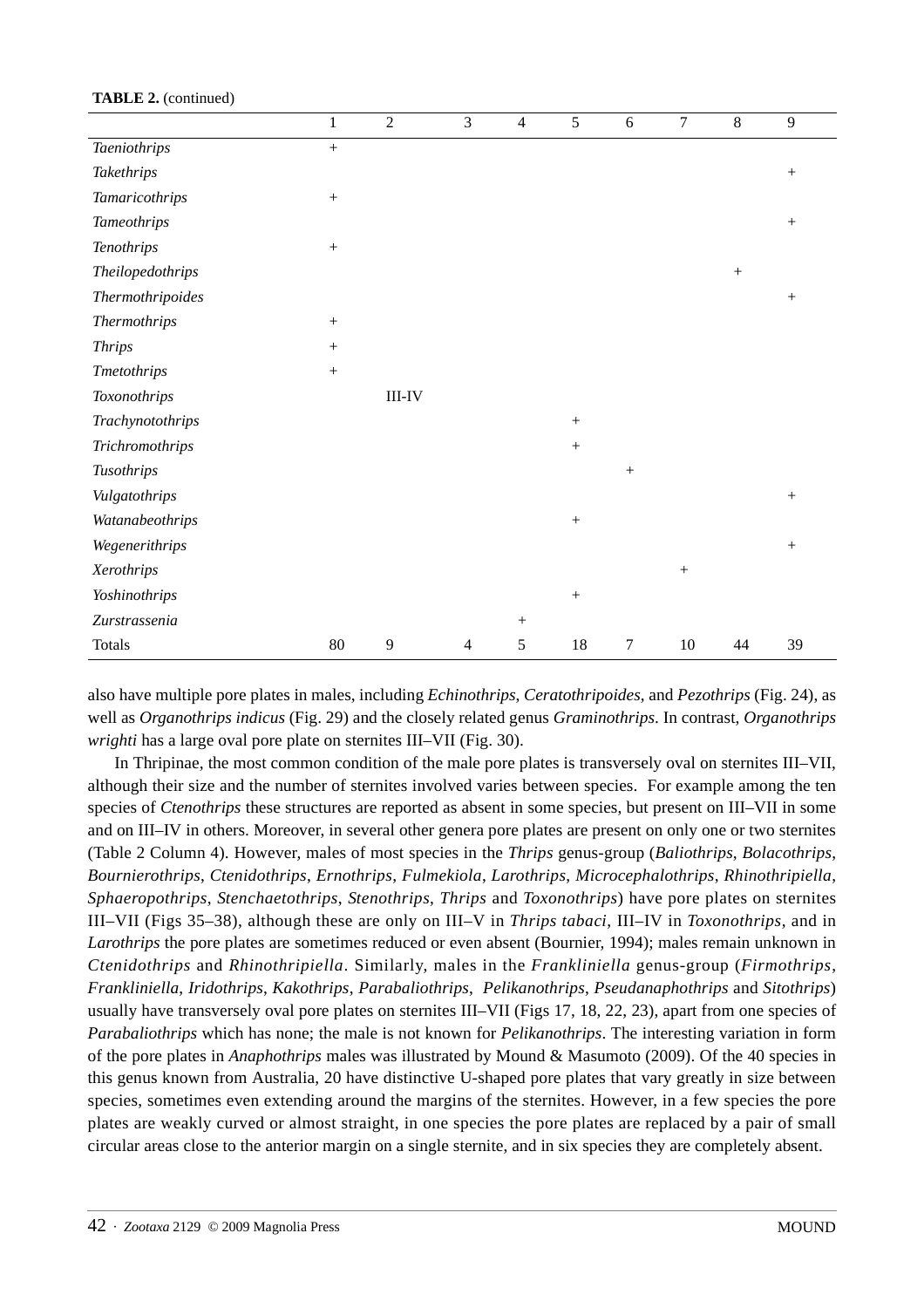|                    | $\,1$            | $\sqrt{2}$      | $\mathfrak{Z}$ | $\overline{4}$ | $\sqrt{5}$       | $\sqrt{6}$ | $\tau$ | $\,8\,$ | 9                |
|--------------------|------------------|-----------------|----------------|----------------|------------------|------------|--------|---------|------------------|
| Taeniothrips       | $\boldsymbol{+}$ |                 |                |                |                  |            |        |         |                  |
| <b>Takethrips</b>  |                  |                 |                |                |                  |            |        |         | $\boldsymbol{+}$ |
| Tamaricothrips     | $\boldsymbol{+}$ |                 |                |                |                  |            |        |         |                  |
| <b>Tameothrips</b> |                  |                 |                |                |                  |            |        |         | $\boldsymbol{+}$ |
| <b>Tenothrips</b>  | $\boldsymbol{+}$ |                 |                |                |                  |            |        |         |                  |
| Theilopedothrips   |                  |                 |                |                |                  |            |        | $^{+}$  |                  |
| Thermothripoides   |                  |                 |                |                |                  |            |        |         |                  |
| Thermothrips       |                  |                 |                |                |                  |            |        |         |                  |
| <b>Thrips</b>      | $\boldsymbol{+}$ |                 |                |                |                  |            |        |         |                  |
| <b>Tmetothrips</b> | $\! +$           |                 |                |                |                  |            |        |         |                  |
| Toxonothrips       |                  | $\text{III-IV}$ |                |                |                  |            |        |         |                  |
| Trachynotothrips   |                  |                 |                |                | $+$              |            |        |         |                  |
| Trichromothrips    |                  |                 |                |                | $+$              |            |        |         |                  |
| <b>Tusothrips</b>  |                  |                 |                |                |                  |            |        |         |                  |
| Vulgatothrips      |                  |                 |                |                |                  |            |        |         | $\boldsymbol{+}$ |
| Watanabeothrips    |                  |                 |                |                | $\boldsymbol{+}$ |            |        |         |                  |
| Wegenerithrips     |                  |                 |                |                |                  |            |        |         |                  |
| Xerothrips         |                  |                 |                |                |                  |            | $+$    |         |                  |
| Yoshinothrips      |                  |                 |                |                | $+$              |            |        |         |                  |
| Zurstrassenia      |                  |                 |                | $+$            |                  |            |        |         |                  |
| <b>Totals</b>      | 80               | 9               | $\overline{4}$ | 5              | 18               | 7          | $10\,$ | 44      | 39               |

also have multiple pore plates in males, including *Echinothrips*, *Ceratothripoides*, and *Pezothrips* (Fig. 24), as well as *Organothrips indicus* (Fig. 29) and the closely related genus *Graminothrips*. In contrast, *Organothrips wrighti* has a large oval pore plate on sternites III–VII (Fig. 30).

In Thripinae, the most common condition of the male pore plates is transversely oval on sternites III–VII, although their size and the number of sternites involved varies between species. For example among the ten species of *Ctenothrips* these structures are reported as absent in some species, but present on III–VII in some and on III–IV in others. Moreover, in several other genera pore plates are present on only one or two sternites (Table 2 Column 4). However, males of most species in the *Thrips* genus-group (*Baliothrips*, *Bolacothrips*, *Bournierothrips*, *Ctenidothrips*, *Ernothrips*, *Fulmekiola*, *Larothrips*, *Microcephalothrips*, *Rhinothripiella*, *Sphaeropothrips*, *Stenchaetothrips*, *Stenothrips*, *Thrips* and *Toxonothrips*) have pore plates on sternites III–VII (Figs 35–38), although these are only on III–V in *Thrips tabaci*, III–IV in *Toxonothrips*, and in *Larothrips* the pore plates are sometimes reduced or even absent (Bournier, 1994); males remain unknown in *Ctenidothrips* and *Rhinothripiella*. Similarly, males in the *Frankliniella* genus-group (*Firmothrips*, *Frankliniella*, *Iridothrips*, *Kakothrips*, *Parabaliothrips*, *Pelikanothrips*, *Pseudanaphothrips* and *Sitothrips*) usually have transversely oval pore plates on sternites III–VII (Figs 17, 18, 22, 23), apart from one species of *Parabaliothrips* which has none; the male is not known for *Pelikanothrips*. The interesting variation in form of the pore plates in *Anaphothrips* males was illustrated by Mound & Masumoto (2009). Of the 40 species in this genus known from Australia, 20 have distinctive U-shaped pore plates that vary greatly in size between species, sometimes even extending around the margins of the sternites. However, in a few species the pore plates are weakly curved or almost straight, in one species the pore plates are replaced by a pair of small circular areas close to the anterior margin on a single sternite, and in six species they are completely absent.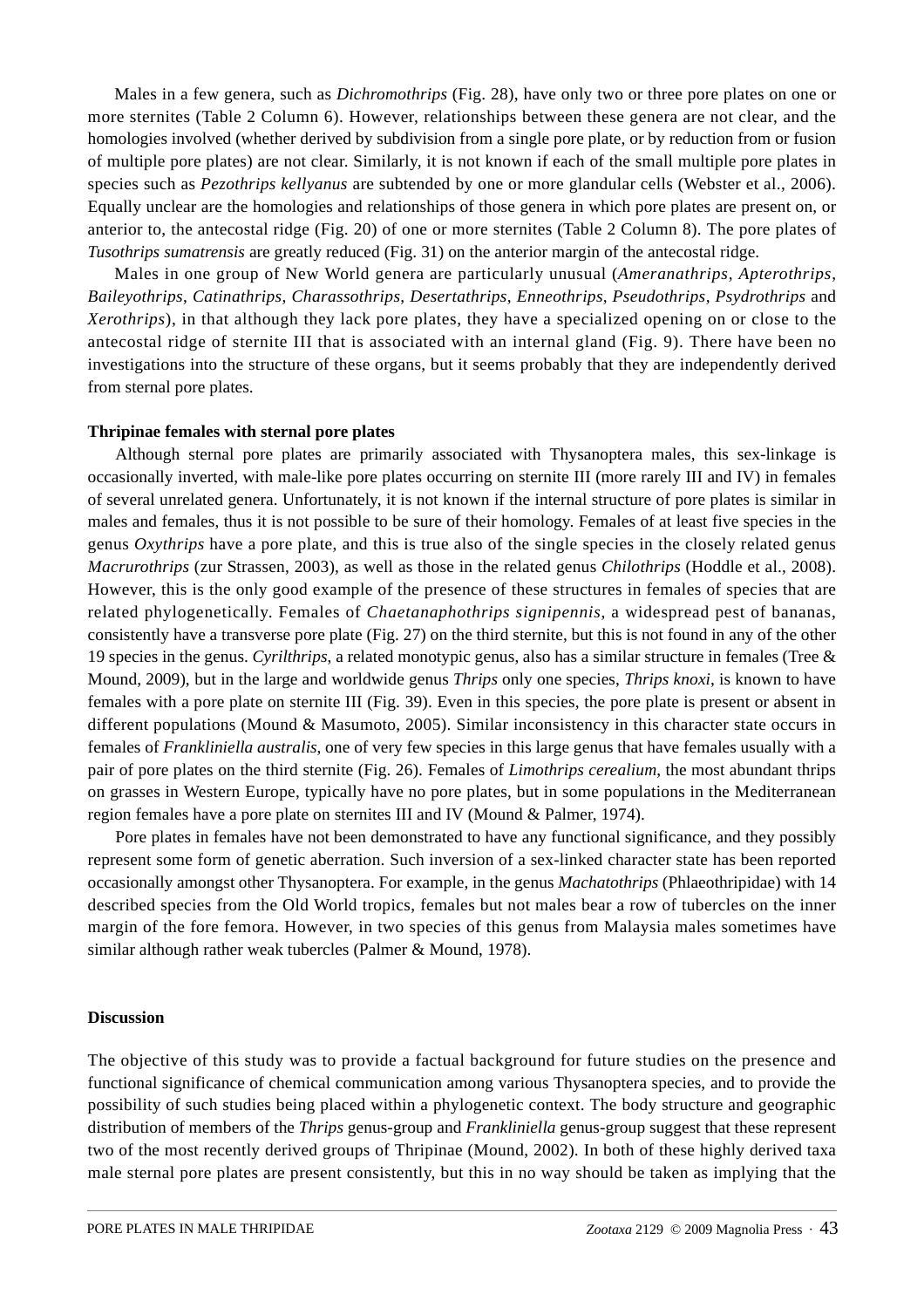Males in a few genera, such as *Dichromothrips* (Fig. 28), have only two or three pore plates on one or more sternites (Table 2 Column 6). However, relationships between these genera are not clear, and the homologies involved (whether derived by subdivision from a single pore plate, or by reduction from or fusion of multiple pore plates) are not clear. Similarly, it is not known if each of the small multiple pore plates in species such as *Pezothrips kellyanus* are subtended by one or more glandular cells (Webster et al., 2006). Equally unclear are the homologies and relationships of those genera in which pore plates are present on, or anterior to, the antecostal ridge (Fig. 20) of one or more sternites (Table 2 Column 8). The pore plates of *Tusothrips sumatrensis* are greatly reduced (Fig. 31) on the anterior margin of the antecostal ridge.

Males in one group of New World genera are particularly unusual (*Ameranathrips*, *Apterothrips*, *Baileyothrips*, *Catinathrips*, *Charassothrips*, *Desertathrips*, *Enneothrips*, *Pseudothrips*, *Psydrothrips* and *Xerothrips*), in that although they lack pore plates, they have a specialized opening on or close to the antecostal ridge of sternite III that is associated with an internal gland (Fig. 9). There have been no investigations into the structure of these organs, but it seems probably that they are independently derived from sternal pore plates.

#### **Thripinae females with sternal pore plates**

Although sternal pore plates are primarily associated with Thysanoptera males, this sex-linkage is occasionally inverted, with male-like pore plates occurring on sternite III (more rarely III and IV) in females of several unrelated genera. Unfortunately, it is not known if the internal structure of pore plates is similar in males and females, thus it is not possible to be sure of their homology. Females of at least five species in the genus *Oxythrips* have a pore plate, and this is true also of the single species in the closely related genus *Macrurothrips* (zur Strassen, 2003), as well as those in the related genus *Chilothrips* (Hoddle et al., 2008). However, this is the only good example of the presence of these structures in females of species that are related phylogenetically. Females of *Chaetanaphothrips signipennis*, a widespread pest of bananas, consistently have a transverse pore plate (Fig. 27) on the third sternite, but this is not found in any of the other 19 species in the genus. *Cyrilthrips*, a related monotypic genus, also has a similar structure in females (Tree & Mound, 2009), but in the large and worldwide genus *Thrips* only one species, *Thrips knoxi*, is known to have females with a pore plate on sternite III (Fig. 39). Even in this species, the pore plate is present or absent in different populations (Mound & Masumoto, 2005). Similar inconsistency in this character state occurs in females of *Frankliniella australis*, one of very few species in this large genus that have females usually with a pair of pore plates on the third sternite (Fig. 26). Females of *Limothrips cerealium*, the most abundant thrips on grasses in Western Europe, typically have no pore plates, but in some populations in the Mediterranean region females have a pore plate on sternites III and IV (Mound & Palmer, 1974).

Pore plates in females have not been demonstrated to have any functional significance, and they possibly represent some form of genetic aberration. Such inversion of a sex-linked character state has been reported occasionally amongst other Thysanoptera. For example, in the genus *Machatothrips* (Phlaeothripidae) with 14 described species from the Old World tropics, females but not males bear a row of tubercles on the inner margin of the fore femora. However, in two species of this genus from Malaysia males sometimes have similar although rather weak tubercles (Palmer & Mound, 1978).

#### **Discussion**

The objective of this study was to provide a factual background for future studies on the presence and functional significance of chemical communication among various Thysanoptera species, and to provide the possibility of such studies being placed within a phylogenetic context. The body structure and geographic distribution of members of the *Thrips* genus-group and *Frankliniella* genus-group suggest that these represent two of the most recently derived groups of Thripinae (Mound, 2002). In both of these highly derived taxa male sternal pore plates are present consistently, but this in no way should be taken as implying that the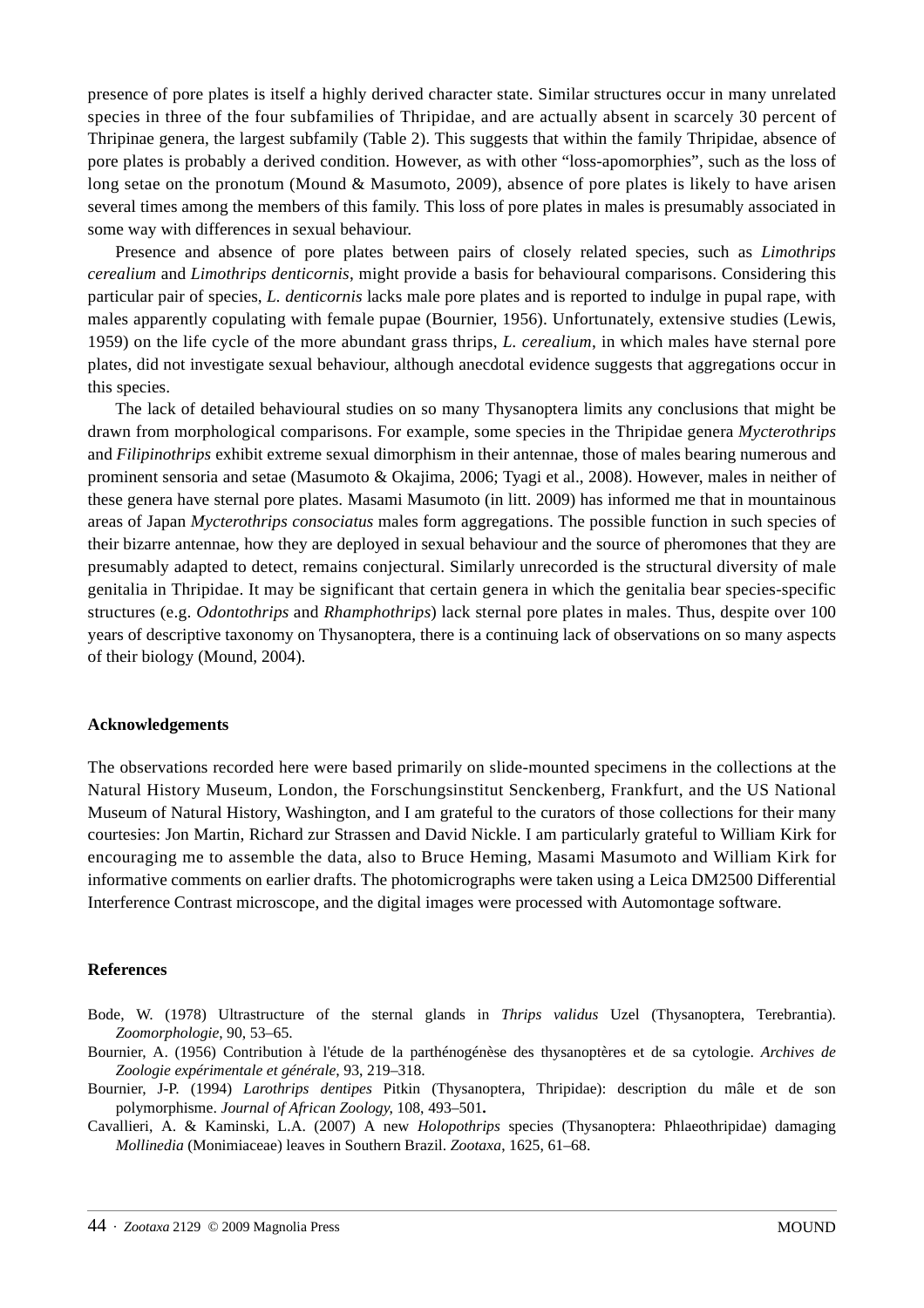presence of pore plates is itself a highly derived character state. Similar structures occur in many unrelated species in three of the four subfamilies of Thripidae, and are actually absent in scarcely 30 percent of Thripinae genera, the largest subfamily (Table 2). This suggests that within the family Thripidae, absence of pore plates is probably a derived condition. However, as with other "loss-apomorphies", such as the loss of long setae on the pronotum (Mound & Masumoto, 2009), absence of pore plates is likely to have arisen several times among the members of this family. This loss of pore plates in males is presumably associated in some way with differences in sexual behaviour.

Presence and absence of pore plates between pairs of closely related species, such as *Limothrips cerealium* and *Limothrips denticornis*, might provide a basis for behavioural comparisons. Considering this particular pair of species, *L. denticornis* lacks male pore plates and is reported to indulge in pupal rape, with males apparently copulating with female pupae (Bournier, 1956). Unfortunately, extensive studies (Lewis, 1959) on the life cycle of the more abundant grass thrips, *L. cerealium*, in which males have sternal pore plates, did not investigate sexual behaviour, although anecdotal evidence suggests that aggregations occur in this species.

The lack of detailed behavioural studies on so many Thysanoptera limits any conclusions that might be drawn from morphological comparisons. For example, some species in the Thripidae genera *Mycterothrips* and *Filipinothrips* exhibit extreme sexual dimorphism in their antennae, those of males bearing numerous and prominent sensoria and setae (Masumoto & Okajima, 2006; Tyagi et al., 2008). However, males in neither of these genera have sternal pore plates. Masami Masumoto (in litt. 2009) has informed me that in mountainous areas of Japan *Mycterothrips consociatus* males form aggregations. The possible function in such species of their bizarre antennae, how they are deployed in sexual behaviour and the source of pheromones that they are presumably adapted to detect, remains conjectural. Similarly unrecorded is the structural diversity of male genitalia in Thripidae. It may be significant that certain genera in which the genitalia bear species-specific structures (e.g. *Odontothrips* and *Rhamphothrips*) lack sternal pore plates in males. Thus, despite over 100 years of descriptive taxonomy on Thysanoptera, there is a continuing lack of observations on so many aspects of their biology (Mound, 2004).

#### **Acknowledgements**

The observations recorded here were based primarily on slide-mounted specimens in the collections at the Natural History Museum, London, the Forschungsinstitut Senckenberg, Frankfurt, and the US National Museum of Natural History, Washington, and I am grateful to the curators of those collections for their many courtesies: Jon Martin, Richard zur Strassen and David Nickle. I am particularly grateful to William Kirk for encouraging me to assemble the data, also to Bruce Heming, Masami Masumoto and William Kirk for informative comments on earlier drafts. The photomicrographs were taken using a Leica DM2500 Differential Interference Contrast microscope, and the digital images were processed with Automontage software.

#### **References**

- Bode, W. (1978) Ultrastructure of the sternal glands in *Thrips validus* Uzel (Thysanoptera, Terebrantia). *Zoomorphologie*, 90, 53–65.
- Bournier, A. (1956) Contribution à l'étude de la parthénogénèse des thysanoptères et de sa cytologie. *Archives de Zoologie expérimentale et générale*, 93, 219–318.
- Bournier, J-P. (1994) *Larothrips dentipes* Pitkin (Thysanoptera, Thripidae): description du mâle et de son polymorphisme. *Journal of African Zoology*, 108, 493–501**.**
- Cavallieri, A. & Kaminski, L.A. (2007) A new *Holopothrips* species (Thysanoptera: Phlaeothripidae) damaging *Mollinedia* (Monimiaceae) leaves in Southern Brazil. *Zootaxa*, 1625, 61–68.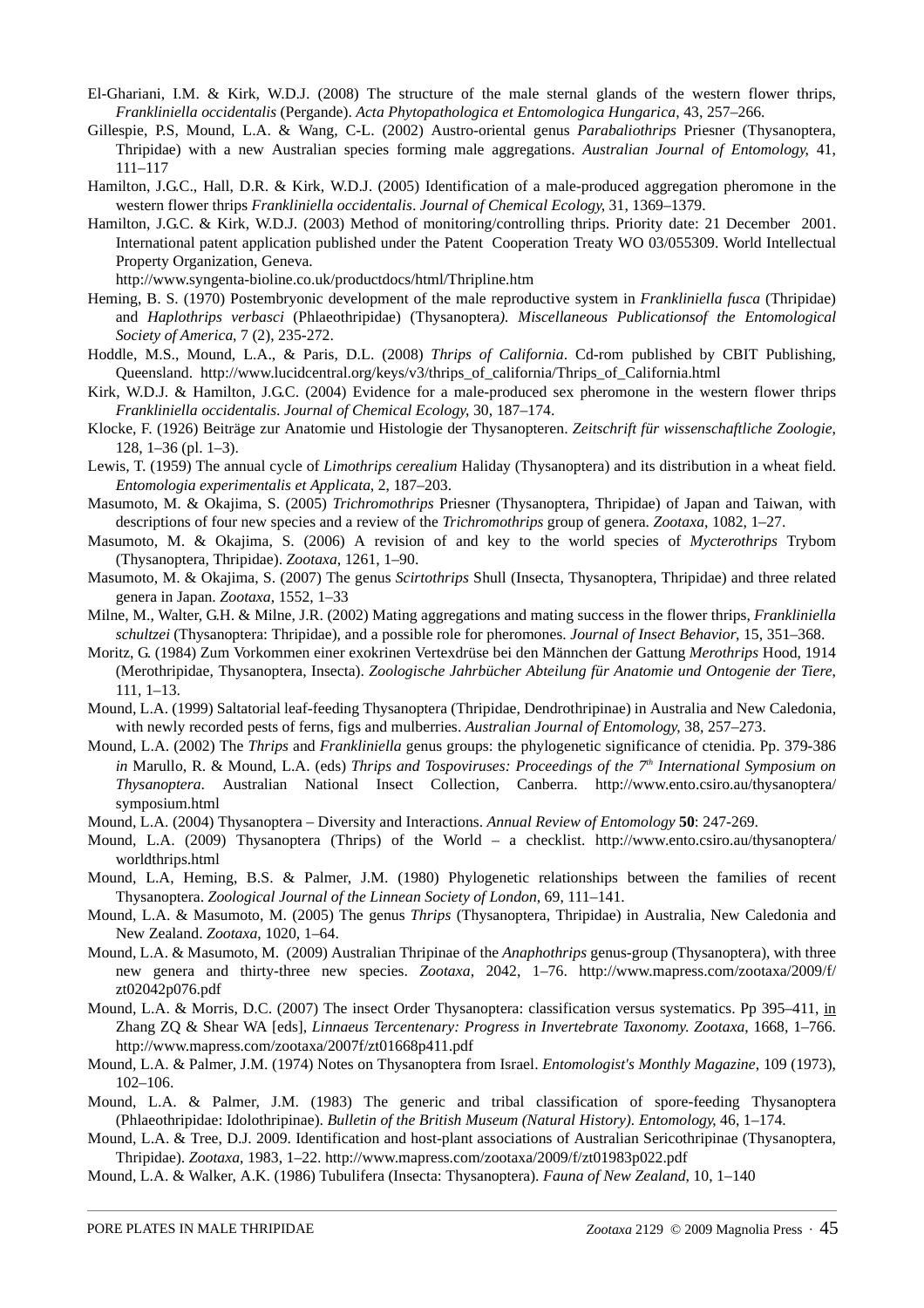- El-Ghariani, I.M. & Kirk, W.D.J. (2008) The structure of the male sternal glands of the western flower thrips, *Frankliniella occidentalis* (Pergande). *Acta Phytopathologica et Entomologica Hungarica*, 43, 257–266.
- Gillespie, P.S, Mound, L.A. & Wang, C-L. (2002) Austro-oriental genus *Parabaliothrips* Priesner (Thysanoptera, Thripidae) with a new Australian species forming male aggregations. *Australian Journal of Entomology*, 41, 111–117
- Hamilton, J.G.C., Hall, D.R. & Kirk, W.D.J. (2005) Identification of a male-produced aggregation pheromone in the western flower thrips *Frankliniella occidentalis*. *Journal of Chemical Ecology*, 31, 1369–1379.
- Hamilton, J.G.C. & Kirk, W.D.J. (2003) Method of monitoring/controlling thrips. Priority date: 21 December 2001. International patent application published under the Patent Cooperation Treaty WO 03/055309. World Intellectual Property Organization, Geneva.
	- [http://www.syngenta-bioline.co.uk/productdocs/html/Thripline.htm](http://www.syngenta-bioline.co.uk/productdocs/html/Thripline.htm )
- Heming, B. S. (1970) Postembryonic development of the male reproductive system in *Frankliniella fusca* (Thripidae) and *Haplothrips verbasci* (Phlaeothripidae) (Thysanoptera*). Miscellaneous Publicationsof the Entomological Society of America*, 7 (2), 235-272.
- Hoddle, M.S., Mound, L.A., & Paris, D.L. (2008) *Thrips of California*. Cd-rom published by CBIT Publishing, Queensland. [http://www.lucidcentral.org/keys/v3/thrips\\_of\\_california/Thrips\\_of\\_California.html](http://www.lucidcentral.org/keys/v3/thrips_of_california/Thrips_of_California.html)
- Kirk, W.D.J. & Hamilton, J.G.C. (2004) Evidence for a male-produced sex pheromone in the western flower thrips *Frankliniella occidentalis*. *Journal of Chemical Ecology*, 30, 187–174.
- Klocke, F. (1926) Beiträge zur Anatomie und Histologie der Thysanopteren. *Zeitschrift für wissenschaftliche Zoologie*, 128, 1–36 (pl. 1–3).
- Lewis, T. (1959) The annual cycle of *Limothrips cerealium* Haliday (Thysanoptera) and its distribution in a wheat field. *Entomologia experimentalis et Applicata*, 2, 187–203.
- Masumoto, M. & Okajima, S. (2005) *Trichromothrips* Priesner (Thysanoptera, Thripidae) of Japan and Taiwan, with descriptions of four new species and a review of the *Trichromothrips* group of genera. *Zootaxa*, 1082, 1–27.
- Masumoto, M. & Okajima, S. (2006) A revision of and key to the world species of *Mycterothrips* Trybom (Thysanoptera, Thripidae). *Zootaxa*, 1261, 1–90.
- Masumoto, M. & Okajima, S. (2007) The genus *Scirtothrips* Shull (Insecta, Thysanoptera, Thripidae) and three related genera in Japan. *Zootaxa*, 1552, 1–33
- Milne, M., Walter, G.H. & Milne, J.R. (2002) Mating aggregations and mating success in the flower thrips, *Frankliniella schultzei* (Thysanoptera: Thripidae), and a possible role for pheromones. *Journal of Insect Behavior*, 15, 351–368.
- Moritz, G. (1984) Zum Vorkommen einer exokrinen Vertexdrüse bei den Männchen der Gattung *Merothrips* Hood, 1914 (Merothripidae, Thysanoptera, Insecta). *Zoologische Jahrbücher Abteilung für Anatomie und Ontogenie der Tiere*, 111, 1–13.
- Mound, L.A. (1999) Saltatorial leaf-feeding Thysanoptera (Thripidae, Dendrothripinae) in Australia and New Caledonia, with newly recorded pests of ferns, figs and mulberries. *Australian Journal of Entomology*, 38, 257–273.
- Mound, L.A. (2002) The *Thrips* and *Frankliniella* genus groups: the phylogenetic significance of ctenidia. Pp. 379-386 *in* Marullo, R. & Mound, L.A. (eds) *Thrips and Tospoviruses: Proceedings of the 7th International Symposium on Thysanoptera*. Australian National Insect Collection, Canberra. http://www.ento.csiro.au/thysanoptera/ symposium.html
- Mound, L.A. (2004) Thysanoptera Diversity and Interactions. *Annual Review of Entomology* **50**: 247-269.
- Mound, L.A. (2009) Thysanoptera (Thrips) of the World a checklist. [http://www.ento.csiro.au/thysanoptera/](http://www.ento.csiro.au/thysanoptera/worldthrips.html) [worldthrips.html](http://www.ento.csiro.au/thysanoptera/worldthrips.html)
- Mound, L.A, Heming, B.S. & Palmer, J.M. (1980) Phylogenetic relationships between the families of recent Thysanoptera. *Zoological Journal of the Linnean Society of London*, 69, 111–141.
- Mound, L.A. & Masumoto, M. (2005) The genus *Thrips* (Thysanoptera, Thripidae) in Australia, New Caledonia and New Zealand. *Zootaxa*, 1020, 1–64.
- Mound, L.A. & Masumoto, M. (2009) Australian Thripinae of the *Anaphothrips* genus-group (Thysanoptera), with three new genera and thirty-three new species. *Zootaxa*, 2042, 1–76. http://www.mapress.com/zootaxa/2009/f/ zt02042p076.pdf
- Mound, L.A. & Morris, D.C. (2007) The insect Order Thysanoptera: classification versus systematics. Pp 395–411, in Zhang ZQ & Shear WA [eds], *Linnaeus Tercentenary: Progress in Invertebrate Taxonomy*. *Zootaxa*, 1668, 1–766. [http://www.mapress.com/zootaxa/2007f/zt01668p411.pdf](http://www.mapre)
- Mound, L.A. & Palmer, J.M. (1974) Notes on Thysanoptera from Israel. *Entomologist's Monthly Magazine*, 109 (1973), 102–106.
- Mound, L.A. & Palmer, J.M. (1983) The generic and tribal classification of spore-feeding Thysanoptera (Phlaeothripidae: Idolothripinae). *Bulletin of the British Museum (Natural History). Entomology*, 46, 1–174.
- Mound, L.A. & Tree, D.J. 2009. Identification and host-plant associations of Australian Sericothripinae (Thysanoptera, Thripidae). *Zootaxa*, 1983, 1–22. http://www.mapress.com/zootaxa/2009/f/zt01983p022.pdf
- Mound, L.A. & Walker, A.K. (1986) Tubulifera (Insecta: Thysanoptera). *Fauna of New Zealand*, 10, 1–140